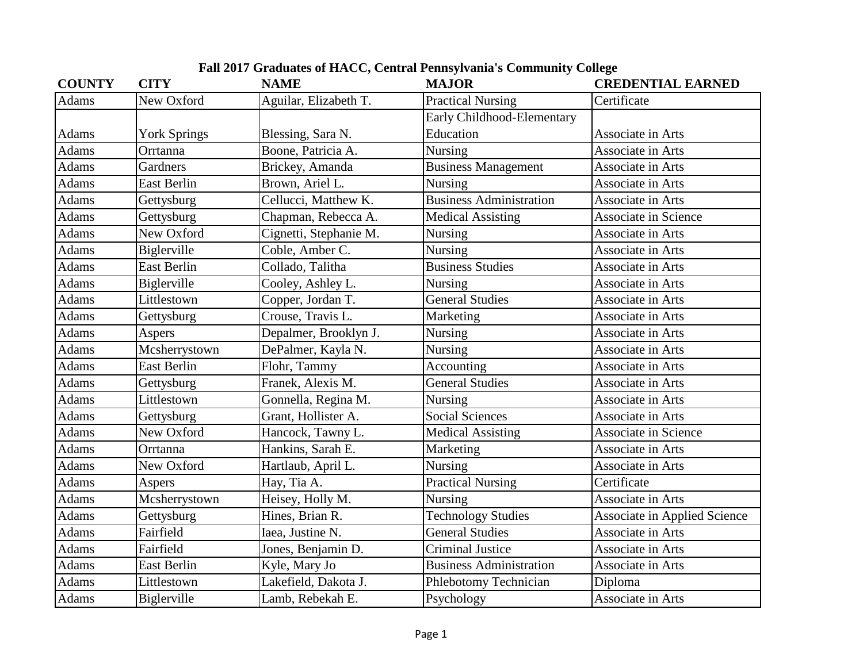| <b>COUNTY</b> | <b>CITY</b>         | <b>NAME</b>            | <b>MAJOR</b>                   | <b>CREDENTIAL EARNED</b>            |
|---------------|---------------------|------------------------|--------------------------------|-------------------------------------|
| Adams         | New Oxford          | Aguilar, Elizabeth T.  | <b>Practical Nursing</b>       | Certificate                         |
|               |                     |                        | Early Childhood-Elementary     |                                     |
| Adams         | <b>York Springs</b> | Blessing, Sara N.      | Education                      | Associate in Arts                   |
| <b>Adams</b>  | Orrtanna            | Boone, Patricia A.     | Nursing                        | Associate in Arts                   |
| <b>Adams</b>  | Gardners            | Brickey, Amanda        | <b>Business Management</b>     | Associate in Arts                   |
| Adams         | <b>East Berlin</b>  | Brown, Ariel L.        | <b>Nursing</b>                 | Associate in Arts                   |
| Adams         | Gettysburg          | Cellucci, Matthew K.   | <b>Business Administration</b> | Associate in Arts                   |
| <b>Adams</b>  | Gettysburg          | Chapman, Rebecca A.    | <b>Medical Assisting</b>       | <b>Associate in Science</b>         |
| <b>Adams</b>  | New Oxford          | Cignetti, Stephanie M. | <b>Nursing</b>                 | Associate in Arts                   |
| <b>Adams</b>  | Biglerville         | Coble, Amber C.        | Nursing                        | Associate in Arts                   |
| <b>Adams</b>  | <b>East Berlin</b>  | Collado, Talitha       | <b>Business Studies</b>        | Associate in Arts                   |
| <b>Adams</b>  | Biglerville         | Cooley, Ashley L.      | <b>Nursing</b>                 | Associate in Arts                   |
| Adams         | Littlestown         | Copper, Jordan T.      | <b>General Studies</b>         | Associate in Arts                   |
| Adams         | Gettysburg          | Crouse, Travis L.      | Marketing                      | Associate in Arts                   |
| <b>Adams</b>  | Aspers              | Depalmer, Brooklyn J.  | Nursing                        | Associate in Arts                   |
| <b>Adams</b>  | Mcsherrystown       | DePalmer, Kayla N.     | Nursing                        | Associate in Arts                   |
| Adams         | <b>East Berlin</b>  | Flohr, Tammy           | Accounting                     | Associate in Arts                   |
| <b>Adams</b>  | Gettysburg          | Franek, Alexis M.      | <b>General Studies</b>         | Associate in Arts                   |
| Adams         | Littlestown         | Gonnella, Regina M.    | Nursing                        | Associate in Arts                   |
| Adams         | Gettysburg          | Grant, Hollister A.    | <b>Social Sciences</b>         | Associate in Arts                   |
| <b>Adams</b>  | New Oxford          | Hancock, Tawny L.      | <b>Medical Assisting</b>       | <b>Associate in Science</b>         |
| <b>Adams</b>  | Orrtanna            | Hankins, Sarah E.      | Marketing                      | Associate in Arts                   |
| <b>Adams</b>  | New Oxford          | Hartlaub, April L.     | Nursing                        | Associate in Arts                   |
| <b>Adams</b>  | Aspers              | Hay, Tia A.            | <b>Practical Nursing</b>       | Certificate                         |
| Adams         | Mcsherrystown       | Heisey, Holly M.       | Nursing                        | Associate in Arts                   |
| Adams         | Gettysburg          | Hines, Brian R.        | <b>Technology Studies</b>      | <b>Associate in Applied Science</b> |
| <b>Adams</b>  | Fairfield           | Iaea, Justine N.       | <b>General Studies</b>         | Associate in Arts                   |
| <b>Adams</b>  | Fairfield           | Jones, Benjamin D.     | <b>Criminal Justice</b>        | Associate in Arts                   |
| <b>Adams</b>  | <b>East Berlin</b>  | Kyle, Mary Jo          | <b>Business Administration</b> | Associate in Arts                   |
| Adams         | Littlestown         | Lakefield, Dakota J.   | Phlebotomy Technician          | Diploma                             |
| Adams         | <b>Biglerville</b>  | Lamb, Rebekah E.       | Psychology                     | Associate in Arts                   |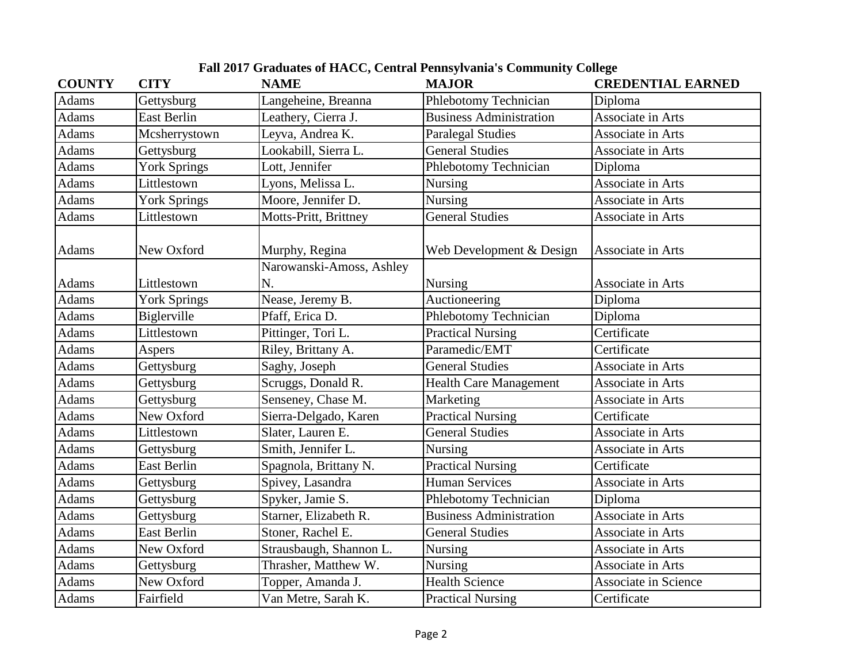| <b>COUNTY</b> | <b>CITY</b>         | <b>NAME</b>                    | <b>MAJOR</b>                   | <b>CREDENTIAL EARNED</b> |
|---------------|---------------------|--------------------------------|--------------------------------|--------------------------|
| Adams         | Gettysburg          | Langeheine, Breanna            | Phlebotomy Technician          | Diploma                  |
| Adams         | <b>East Berlin</b>  | Leathery, Cierra J.            | <b>Business Administration</b> | Associate in Arts        |
| Adams         | Mcsherrystown       | Leyva, Andrea K.               | <b>Paralegal Studies</b>       | Associate in Arts        |
| <b>Adams</b>  | Gettysburg          | Lookabill, Sierra L.           | <b>General Studies</b>         | Associate in Arts        |
| Adams         | <b>York Springs</b> | Lott, Jennifer                 | Phlebotomy Technician          | Diploma                  |
| <b>Adams</b>  | Littlestown         | Lyons, Melissa L.              | <b>Nursing</b>                 | Associate in Arts        |
| <b>Adams</b>  | <b>York Springs</b> | Moore, Jennifer D.             | <b>Nursing</b>                 | Associate in Arts        |
| Adams         | Littlestown         | Motts-Pritt, Brittney          | <b>General Studies</b>         | Associate in Arts        |
| Adams         | New Oxford          | Murphy, Regina                 | Web Development & Design       | Associate in Arts        |
| Adams         | Littlestown         | Narowanski-Amoss, Ashley<br>N. | Nursing                        | Associate in Arts        |
| <b>Adams</b>  | <b>York Springs</b> | Nease, Jeremy B.               | Auctioneering                  | Diploma                  |
| Adams         | Biglerville         | Pfaff, Erica D.                | Phlebotomy Technician          | Diploma                  |
| <b>Adams</b>  | Littlestown         | Pittinger, Tori L.             | <b>Practical Nursing</b>       | Certificate              |
| <b>Adams</b>  | Aspers              | Riley, Brittany A.             | Paramedic/EMT                  | Certificate              |
| <b>Adams</b>  | Gettysburg          | Saghy, Joseph                  | <b>General Studies</b>         | Associate in Arts        |
| Adams         | Gettysburg          | Scruggs, Donald R.             | <b>Health Care Management</b>  | Associate in Arts        |
| Adams         | Gettysburg          | Senseney, Chase M.             | Marketing                      | Associate in Arts        |
| <b>Adams</b>  | New Oxford          | Sierra-Delgado, Karen          | <b>Practical Nursing</b>       | Certificate              |
| Adams         | Littlestown         | Slater, Lauren E.              | <b>General Studies</b>         | Associate in Arts        |
| Adams         | Gettysburg          | Smith, Jennifer L.             | Nursing                        | Associate in Arts        |
| <b>Adams</b>  | <b>East Berlin</b>  | Spagnola, Brittany N.          | <b>Practical Nursing</b>       | Certificate              |
| Adams         | Gettysburg          | Spivey, Lasandra               | <b>Human Services</b>          | Associate in Arts        |
| Adams         | Gettysburg          | Spyker, Jamie S.               | Phlebotomy Technician          | Diploma                  |
| <b>Adams</b>  | Gettysburg          | Starner, Elizabeth R.          | <b>Business Administration</b> | Associate in Arts        |
| Adams         | <b>East Berlin</b>  | Stoner, Rachel E.              | <b>General Studies</b>         | Associate in Arts        |
| Adams         | New Oxford          | Strausbaugh, Shannon L.        | <b>Nursing</b>                 | Associate in Arts        |
| Adams         | Gettysburg          | Thrasher, Matthew W.           | <b>Nursing</b>                 | Associate in Arts        |
| Adams         | New Oxford          | Topper, Amanda J.              | <b>Health Science</b>          | Associate in Science     |
| <b>Adams</b>  | Fairfield           | Van Metre, Sarah K.            | <b>Practical Nursing</b>       | Certificate              |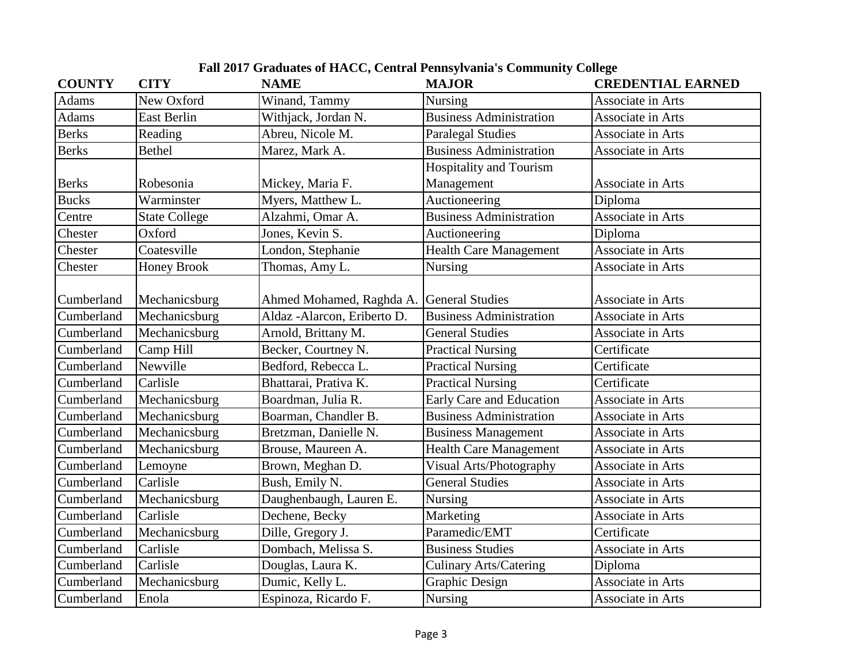| <b>COUNTY</b> | <b>CITY</b>          | <b>NAME</b>                  | <b>MAJOR</b>                   | <b>CREDENTIAL EARNED</b> |
|---------------|----------------------|------------------------------|--------------------------------|--------------------------|
| <b>Adams</b>  | New Oxford           | Winand, Tammy                | <b>Nursing</b>                 | Associate in Arts        |
| <b>Adams</b>  | <b>East Berlin</b>   | Withjack, Jordan N.          | <b>Business Administration</b> | Associate in Arts        |
| <b>Berks</b>  | Reading              | Abreu, Nicole M.             | <b>Paralegal Studies</b>       | Associate in Arts        |
| <b>Berks</b>  | <b>Bethel</b>        | Marez, Mark A.               | <b>Business Administration</b> | Associate in Arts        |
|               |                      |                              | <b>Hospitality and Tourism</b> |                          |
| <b>Berks</b>  | Robesonia            | Mickey, Maria F.             | Management                     | Associate in Arts        |
| <b>Bucks</b>  | Warminster           | Myers, Matthew L.            | Auctioneering                  | Diploma                  |
| Centre        | <b>State College</b> | Alzahmi, Omar A.             | <b>Business Administration</b> | Associate in Arts        |
| Chester       | Oxford               | Jones, Kevin S.              | Auctioneering                  | Diploma                  |
| Chester       | Coatesville          | London, Stephanie            | <b>Health Care Management</b>  | Associate in Arts        |
| Chester       | <b>Honey Brook</b>   | Thomas, Amy L.               | <b>Nursing</b>                 | Associate in Arts        |
|               |                      |                              |                                |                          |
| Cumberland    | Mechanicsburg        | Ahmed Mohamed, Raghda A.     | <b>General Studies</b>         | Associate in Arts        |
| Cumberland    | Mechanicsburg        | Aldaz - Alarcon, Eriberto D. | <b>Business Administration</b> | Associate in Arts        |
| Cumberland    | Mechanicsburg        | Arnold, Brittany M.          | <b>General Studies</b>         | Associate in Arts        |
| Cumberland    | Camp Hill            | Becker, Courtney N.          | <b>Practical Nursing</b>       | Certificate              |
| Cumberland    | Newville             | Bedford, Rebecca L.          | <b>Practical Nursing</b>       | Certificate              |
| Cumberland    | Carlisle             | Bhattarai, Prativa K.        | <b>Practical Nursing</b>       | Certificate              |
| Cumberland    | Mechanicsburg        | Boardman, Julia R.           | Early Care and Education       | Associate in Arts        |
| Cumberland    | Mechanicsburg        | Boarman, Chandler B.         | <b>Business Administration</b> | Associate in Arts        |
| Cumberland    | Mechanicsburg        | Bretzman, Danielle N.        | <b>Business Management</b>     | Associate in Arts        |
| Cumberland    | Mechanicsburg        | Brouse, Maureen A.           | <b>Health Care Management</b>  | Associate in Arts        |
| Cumberland    | Lemoyne              | Brown, Meghan D.             | Visual Arts/Photography        | Associate in Arts        |
| Cumberland    | Carlisle             | Bush, Emily N.               | <b>General Studies</b>         | Associate in Arts        |
| Cumberland    | Mechanicsburg        | Daughenbaugh, Lauren E.      | Nursing                        | Associate in Arts        |
| Cumberland    | Carlisle             | Dechene, Becky               | Marketing                      | Associate in Arts        |
| Cumberland    | Mechanicsburg        | Dille, Gregory J.            | Paramedic/EMT                  | Certificate              |
| Cumberland    | Carlisle             | Dombach, Melissa S.          | <b>Business Studies</b>        | Associate in Arts        |
| Cumberland    | Carlisle             | Douglas, Laura K.            | <b>Culinary Arts/Catering</b>  | Diploma                  |
| Cumberland    | Mechanicsburg        | Dumic, Kelly L.              | <b>Graphic Design</b>          | Associate in Arts        |
| Cumberland    | Enola                | Espinoza, Ricardo F.         | Nursing                        | Associate in Arts        |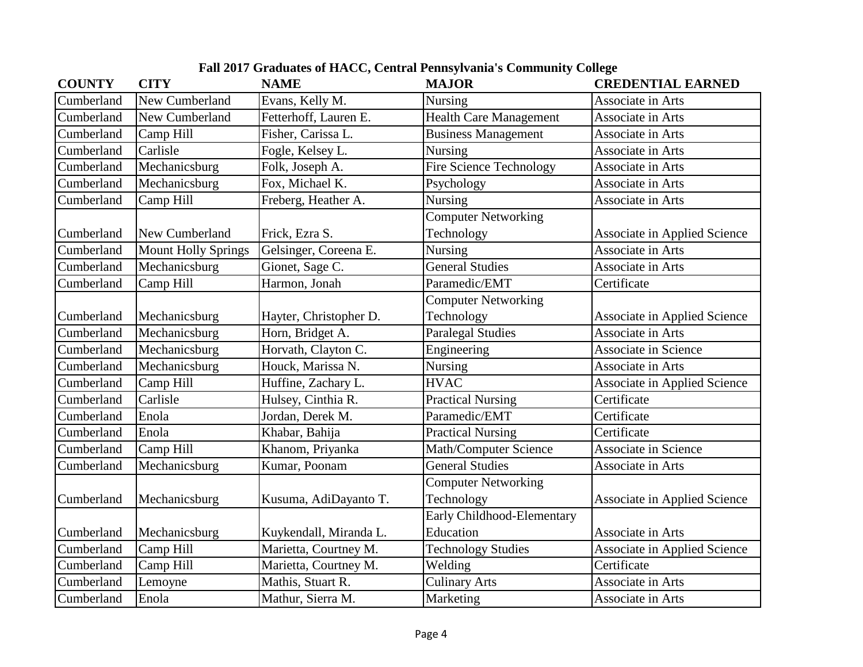| <b>COUNTY</b> | <b>CITY</b>                | <b>NAME</b>            | <b>MAJOR</b>                  | <b>CREDENTIAL EARNED</b>            |
|---------------|----------------------------|------------------------|-------------------------------|-------------------------------------|
| Cumberland    | New Cumberland             | Evans, Kelly M.        | Nursing                       | Associate in Arts                   |
| Cumberland    | New Cumberland             | Fetterhoff, Lauren E.  | <b>Health Care Management</b> | Associate in Arts                   |
| Cumberland    | Camp Hill                  | Fisher, Carissa L.     | <b>Business Management</b>    | Associate in Arts                   |
| Cumberland    | Carlisle                   | Fogle, Kelsey L.       | Nursing                       | Associate in Arts                   |
| Cumberland    | Mechanicsburg              | Folk, Joseph A.        | Fire Science Technology       | Associate in Arts                   |
| Cumberland    | Mechanicsburg              | Fox, Michael K.        | Psychology                    | Associate in Arts                   |
| Cumberland    | Camp Hill                  | Freberg, Heather A.    | Nursing                       | Associate in Arts                   |
|               |                            |                        | <b>Computer Networking</b>    |                                     |
| Cumberland    | New Cumberland             | Frick, Ezra S.         | Technology                    | Associate in Applied Science        |
| Cumberland    | <b>Mount Holly Springs</b> | Gelsinger, Coreena E.  | Nursing                       | Associate in Arts                   |
| Cumberland    | Mechanicsburg              | Gionet, Sage C.        | <b>General Studies</b>        | Associate in Arts                   |
| Cumberland    | Camp Hill                  | Harmon, Jonah          | Paramedic/EMT                 | Certificate                         |
|               |                            |                        | <b>Computer Networking</b>    |                                     |
| Cumberland    | Mechanicsburg              | Hayter, Christopher D. | Technology                    | <b>Associate in Applied Science</b> |
| Cumberland    | Mechanicsburg              | Horn, Bridget A.       | <b>Paralegal Studies</b>      | Associate in Arts                   |
| Cumberland    | Mechanicsburg              | Horvath, Clayton C.    | Engineering                   | <b>Associate in Science</b>         |
| Cumberland    | Mechanicsburg              | Houck, Marissa N.      | Nursing                       | Associate in Arts                   |
| Cumberland    | Camp Hill                  | Huffine, Zachary L.    | <b>HVAC</b>                   | <b>Associate in Applied Science</b> |
| Cumberland    | Carlisle                   | Hulsey, Cinthia R.     | <b>Practical Nursing</b>      | Certificate                         |
| Cumberland    | Enola                      | Jordan, Derek M.       | Paramedic/EMT                 | Certificate                         |
| Cumberland    | Enola                      | Khabar, Bahija         | <b>Practical Nursing</b>      | Certificate                         |
| Cumberland    | Camp Hill                  | Khanom, Priyanka       | <b>Math/Computer Science</b>  | Associate in Science                |
| Cumberland    | Mechanicsburg              | Kumar, Poonam          | <b>General Studies</b>        | Associate in Arts                   |
|               |                            |                        | <b>Computer Networking</b>    |                                     |
| Cumberland    | Mechanicsburg              | Kusuma, AdiDayanto T.  | Technology                    | Associate in Applied Science        |
|               |                            |                        | Early Childhood-Elementary    |                                     |
| Cumberland    | Mechanicsburg              | Kuykendall, Miranda L. | Education                     | Associate in Arts                   |
| Cumberland    | Camp Hill                  | Marietta, Courtney M.  | <b>Technology Studies</b>     | Associate in Applied Science        |
| Cumberland    | Camp Hill                  | Marietta, Courtney M.  | Welding                       | Certificate                         |
| Cumberland    | Lemoyne                    | Mathis, Stuart R.      | <b>Culinary Arts</b>          | Associate in Arts                   |
| Cumberland    | Enola                      | Mathur, Sierra M.      | Marketing                     | Associate in Arts                   |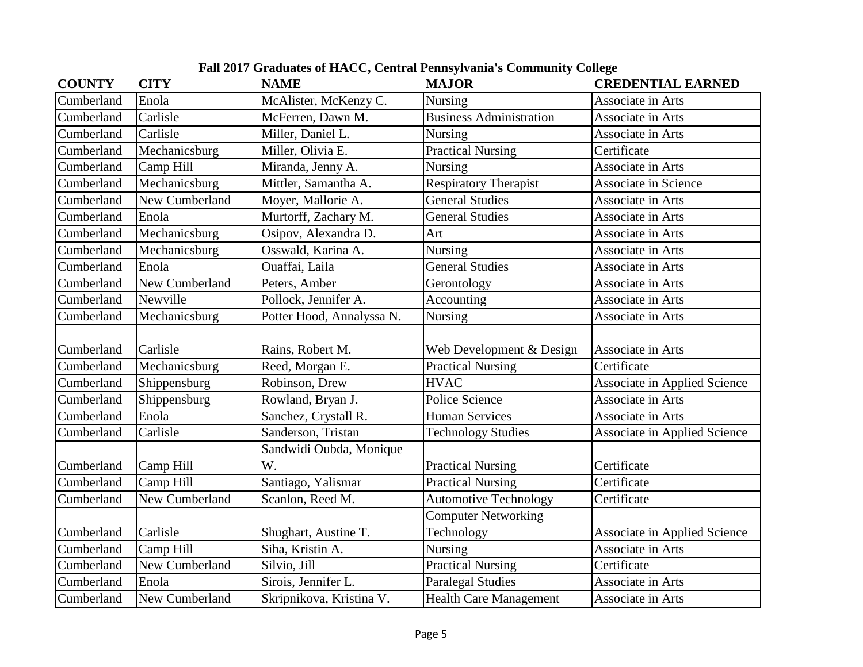| <b>COUNTY</b> | <b>CITY</b>    | <b>NAME</b>               | <b>MAJOR</b>                   | <b>CREDENTIAL EARNED</b>            |
|---------------|----------------|---------------------------|--------------------------------|-------------------------------------|
| Cumberland    | Enola          | McAlister, McKenzy C.     | Nursing                        | Associate in Arts                   |
| Cumberland    | Carlisle       | McFerren, Dawn M.         | <b>Business Administration</b> | Associate in Arts                   |
| Cumberland    | Carlisle       | Miller, Daniel L.         | <b>Nursing</b>                 | Associate in Arts                   |
| Cumberland    | Mechanicsburg  | Miller, Olivia E.         | <b>Practical Nursing</b>       | Certificate                         |
| Cumberland    | Camp Hill      | Miranda, Jenny A.         | Nursing                        | Associate in Arts                   |
| Cumberland    | Mechanicsburg  | Mittler, Samantha A.      | <b>Respiratory Therapist</b>   | <b>Associate in Science</b>         |
| Cumberland    | New Cumberland | Moyer, Mallorie A.        | <b>General Studies</b>         | Associate in Arts                   |
| Cumberland    | Enola          | Murtorff, Zachary M.      | <b>General Studies</b>         | Associate in Arts                   |
| Cumberland    | Mechanicsburg  | Osipov, Alexandra D.      | Art                            | Associate in Arts                   |
| Cumberland    | Mechanicsburg  | Osswald, Karina A.        | Nursing                        | Associate in Arts                   |
| Cumberland    | Enola          | Ouaffai, Laila            | <b>General Studies</b>         | Associate in Arts                   |
| Cumberland    | New Cumberland | Peters, Amber             | Gerontology                    | Associate in Arts                   |
| Cumberland    | Newville       | Pollock, Jennifer A.      | Accounting                     | Associate in Arts                   |
| Cumberland    | Mechanicsburg  | Potter Hood, Annalyssa N. | Nursing                        | Associate in Arts                   |
| Cumberland    | Carlisle       | Rains, Robert M.          | Web Development & Design       | Associate in Arts                   |
| Cumberland    | Mechanicsburg  | Reed, Morgan E.           | <b>Practical Nursing</b>       | Certificate                         |
| Cumberland    | Shippensburg   | Robinson, Drew            | <b>HVAC</b>                    | <b>Associate in Applied Science</b> |
| Cumberland    | Shippensburg   | Rowland, Bryan J.         | Police Science                 | Associate in Arts                   |
| Cumberland    | Enola          | Sanchez, Crystall R.      | <b>Human Services</b>          | Associate in Arts                   |
| Cumberland    | Carlisle       | Sanderson, Tristan        | <b>Technology Studies</b>      | Associate in Applied Science        |
|               |                | Sandwidi Oubda, Monique   |                                |                                     |
| Cumberland    | Camp Hill      | W.                        | <b>Practical Nursing</b>       | Certificate                         |
| Cumberland    | Camp Hill      | Santiago, Yalismar        | <b>Practical Nursing</b>       | Certificate                         |
| Cumberland    | New Cumberland | Scanlon, Reed M.          | <b>Automotive Technology</b>   | Certificate                         |
|               |                |                           | <b>Computer Networking</b>     |                                     |
| Cumberland    | Carlisle       | Shughart, Austine T.      | Technology                     | <b>Associate in Applied Science</b> |
| Cumberland    | Camp Hill      | Siha, Kristin A.          | <b>Nursing</b>                 | Associate in Arts                   |
| Cumberland    | New Cumberland | Silvio, Jill              | <b>Practical Nursing</b>       | Certificate                         |
| Cumberland    | Enola          | Sirois, Jennifer L.       | <b>Paralegal Studies</b>       | Associate in Arts                   |
| Cumberland    | New Cumberland | Skripnikova, Kristina V.  | <b>Health Care Management</b>  | Associate in Arts                   |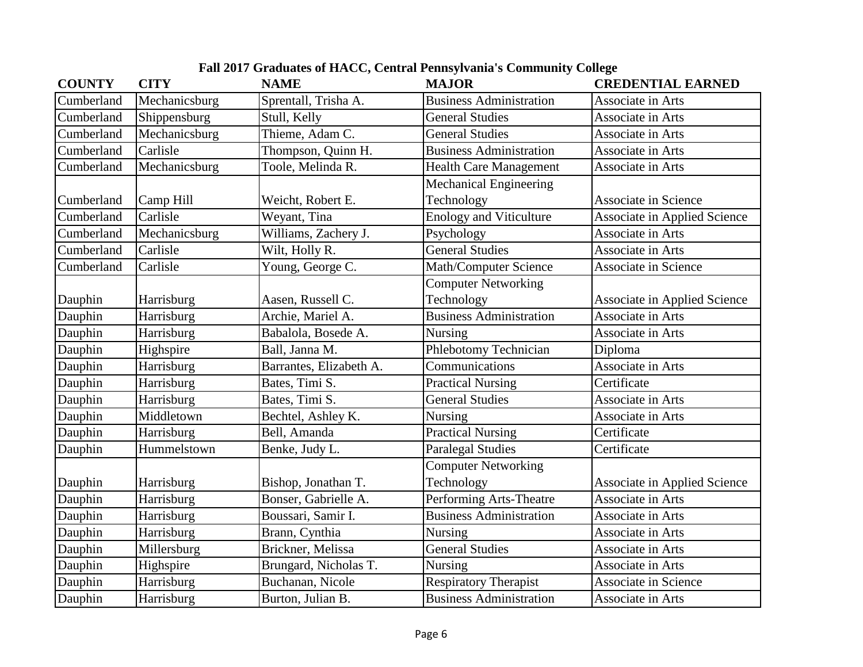| <b>COUNTY</b> | <b>CITY</b>   | <b>NAME</b>             | <b>MAJOR</b>                   | <b>CREDENTIAL EARNED</b>            |
|---------------|---------------|-------------------------|--------------------------------|-------------------------------------|
| Cumberland    | Mechanicsburg | Sprentall, Trisha A.    | <b>Business Administration</b> | Associate in Arts                   |
| Cumberland    | Shippensburg  | Stull, Kelly            | <b>General Studies</b>         | Associate in Arts                   |
| Cumberland    | Mechanicsburg | Thieme, Adam C.         | <b>General Studies</b>         | Associate in Arts                   |
| Cumberland    | Carlisle      | Thompson, Quinn H.      | <b>Business Administration</b> | Associate in Arts                   |
| Cumberland    | Mechanicsburg | Toole, Melinda R.       | <b>Health Care Management</b>  | Associate in Arts                   |
|               |               |                         | <b>Mechanical Engineering</b>  |                                     |
| Cumberland    | Camp Hill     | Weicht, Robert E.       | Technology                     | <b>Associate in Science</b>         |
| Cumberland    | Carlisle      | Weyant, Tina            | <b>Enology and Viticulture</b> | <b>Associate in Applied Science</b> |
| Cumberland    | Mechanicsburg | Williams, Zachery J.    | Psychology                     | Associate in Arts                   |
| Cumberland    | Carlisle      | Wilt, Holly R.          | <b>General Studies</b>         | Associate in Arts                   |
| Cumberland    | Carlisle      | Young, George C.        | Math/Computer Science          | <b>Associate in Science</b>         |
|               |               |                         | <b>Computer Networking</b>     |                                     |
| Dauphin       | Harrisburg    | Aasen, Russell C.       | Technology                     | <b>Associate in Applied Science</b> |
| Dauphin       | Harrisburg    | Archie, Mariel A.       | <b>Business Administration</b> | Associate in Arts                   |
| Dauphin       | Harrisburg    | Babalola, Bosede A.     | Nursing                        | Associate in Arts                   |
| Dauphin       | Highspire     | Ball, Janna M.          | Phlebotomy Technician          | Diploma                             |
| Dauphin       | Harrisburg    | Barrantes, Elizabeth A. | Communications                 | Associate in Arts                   |
| Dauphin       | Harrisburg    | Bates, Timi S.          | <b>Practical Nursing</b>       | Certificate                         |
| Dauphin       | Harrisburg    | Bates, Timi S.          | <b>General Studies</b>         | Associate in Arts                   |
| Dauphin       | Middletown    | Bechtel, Ashley K.      | Nursing                        | Associate in Arts                   |
| Dauphin       | Harrisburg    | Bell, Amanda            | <b>Practical Nursing</b>       | Certificate                         |
| Dauphin       | Hummelstown   | Benke, Judy L.          | <b>Paralegal Studies</b>       | Certificate                         |
|               |               |                         | <b>Computer Networking</b>     |                                     |
| Dauphin       | Harrisburg    | Bishop, Jonathan T.     | Technology                     | <b>Associate in Applied Science</b> |
| Dauphin       | Harrisburg    | Bonser, Gabrielle A.    | Performing Arts-Theatre        | Associate in Arts                   |
| Dauphin       | Harrisburg    | Boussari, Samir I.      | <b>Business Administration</b> | Associate in Arts                   |
| Dauphin       | Harrisburg    | Brann, Cynthia          | <b>Nursing</b>                 | Associate in Arts                   |
| Dauphin       | Millersburg   | Brickner, Melissa       | <b>General Studies</b>         | Associate in Arts                   |
| Dauphin       | Highspire     | Brungard, Nicholas T.   | <b>Nursing</b>                 | Associate in Arts                   |
| Dauphin       | Harrisburg    | Buchanan, Nicole        | <b>Respiratory Therapist</b>   | <b>Associate in Science</b>         |
| Dauphin       | Harrisburg    | Burton, Julian B.       | <b>Business Administration</b> | Associate in Arts                   |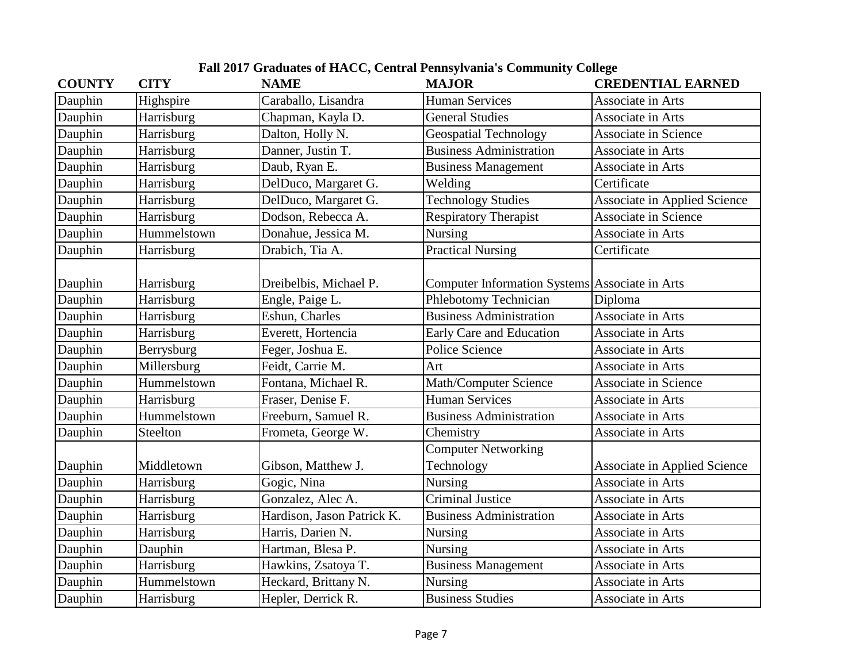| <b>COUNTY</b> | <b>CITY</b> | <b>NAME</b>                | <b>MAJOR</b>                                   | <b>CREDENTIAL EARNED</b>            |
|---------------|-------------|----------------------------|------------------------------------------------|-------------------------------------|
| Dauphin       | Highspire   | Caraballo, Lisandra        | <b>Human Services</b>                          | Associate in Arts                   |
| Dauphin       | Harrisburg  | Chapman, Kayla D.          | <b>General Studies</b>                         | Associate in Arts                   |
| Dauphin       | Harrisburg  | Dalton, Holly N.           | <b>Geospatial Technology</b>                   | Associate in Science                |
| Dauphin       | Harrisburg  | Danner, Justin T.          | <b>Business Administration</b>                 | Associate in Arts                   |
| Dauphin       | Harrisburg  | Daub, Ryan E.              | <b>Business Management</b>                     | Associate in Arts                   |
| Dauphin       | Harrisburg  | DelDuco, Margaret G.       | Welding                                        | Certificate                         |
| Dauphin       | Harrisburg  | DelDuco, Margaret G.       | <b>Technology Studies</b>                      | <b>Associate in Applied Science</b> |
| Dauphin       | Harrisburg  | Dodson, Rebecca A.         | <b>Respiratory Therapist</b>                   | <b>Associate in Science</b>         |
| Dauphin       | Hummelstown | Donahue, Jessica M.        | Nursing                                        | Associate in Arts                   |
| Dauphin       | Harrisburg  | Drabich, Tia A.            | <b>Practical Nursing</b>                       | Certificate                         |
| Dauphin       | Harrisburg  | Dreibelbis, Michael P.     | Computer Information Systems Associate in Arts |                                     |
| Dauphin       | Harrisburg  | Engle, Paige L.            | Phlebotomy Technician                          | Diploma                             |
| Dauphin       | Harrisburg  | Eshun, Charles             | <b>Business Administration</b>                 | Associate in Arts                   |
| Dauphin       | Harrisburg  | Everett, Hortencia         | Early Care and Education                       | Associate in Arts                   |
| Dauphin       | Berrysburg  | Feger, Joshua E.           | Police Science                                 | Associate in Arts                   |
| Dauphin       | Millersburg | Feidt, Carrie M.           | Art                                            | Associate in Arts                   |
| Dauphin       | Hummelstown | Fontana, Michael R.        | Math/Computer Science                          | <b>Associate in Science</b>         |
| Dauphin       | Harrisburg  | Fraser, Denise F.          | <b>Human Services</b>                          | Associate in Arts                   |
| Dauphin       | Hummelstown | Freeburn, Samuel R.        | <b>Business Administration</b>                 | Associate in Arts                   |
| Dauphin       | Steelton    | Frometa, George W.         | Chemistry                                      | Associate in Arts                   |
|               |             |                            | <b>Computer Networking</b>                     |                                     |
| Dauphin       | Middletown  | Gibson, Matthew J.         | Technology                                     | <b>Associate in Applied Science</b> |
| Dauphin       | Harrisburg  | Gogic, Nina                | Nursing                                        | Associate in Arts                   |
| Dauphin       | Harrisburg  | Gonzalez, Alec A.          | <b>Criminal Justice</b>                        | Associate in Arts                   |
| Dauphin       | Harrisburg  | Hardison, Jason Patrick K. | <b>Business Administration</b>                 | Associate in Arts                   |
| Dauphin       | Harrisburg  | Harris, Darien N.          | Nursing                                        | Associate in Arts                   |
| Dauphin       | Dauphin     | Hartman, Blesa P.          | Nursing                                        | Associate in Arts                   |
| Dauphin       | Harrisburg  | Hawkins, Zsatoya T.        | <b>Business Management</b>                     | Associate in Arts                   |
| Dauphin       | Hummelstown | Heckard, Brittany N.       | Nursing                                        | Associate in Arts                   |
| Dauphin       | Harrisburg  | Hepler, Derrick R.         | <b>Business Studies</b>                        | Associate in Arts                   |

**Fall 2017 Graduates of HACC, Central Pennsylvania's Community College**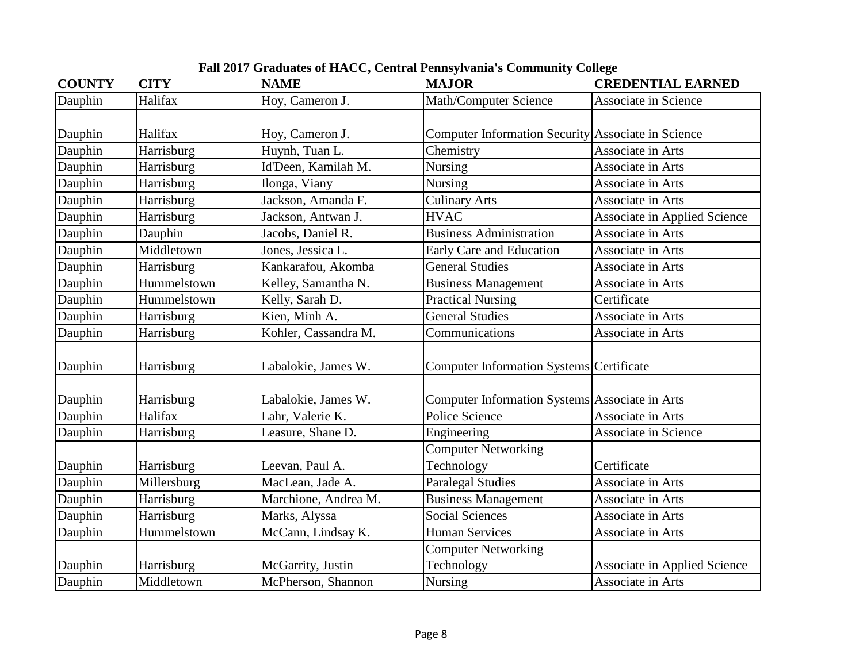| <b>COUNTY</b> | <b>CITY</b> | <b>NAME</b>          | <b>MAJOR</b>                                       | <b>CREDENTIAL EARNED</b>            |
|---------------|-------------|----------------------|----------------------------------------------------|-------------------------------------|
| Dauphin       | Halifax     | Hoy, Cameron J.      | Math/Computer Science                              | <b>Associate in Science</b>         |
|               |             |                      |                                                    |                                     |
| Dauphin       | Halifax     | Hoy, Cameron J.      | Computer Information Security Associate in Science |                                     |
| Dauphin       | Harrisburg  | Huynh, Tuan L.       | Chemistry                                          | Associate in Arts                   |
| Dauphin       | Harrisburg  | Id'Deen, Kamilah M.  | <b>Nursing</b>                                     | Associate in Arts                   |
| Dauphin       | Harrisburg  | Ilonga, Viany        | <b>Nursing</b>                                     | Associate in Arts                   |
| Dauphin       | Harrisburg  | Jackson, Amanda F.   | <b>Culinary Arts</b>                               | Associate in Arts                   |
| Dauphin       | Harrisburg  | Jackson, Antwan J.   | <b>HVAC</b>                                        | <b>Associate in Applied Science</b> |
| Dauphin       | Dauphin     | Jacobs, Daniel R.    | <b>Business Administration</b>                     | Associate in Arts                   |
| Dauphin       | Middletown  | Jones, Jessica L.    | <b>Early Care and Education</b>                    | Associate in Arts                   |
| Dauphin       | Harrisburg  | Kankarafou, Akomba   | <b>General Studies</b>                             | Associate in Arts                   |
| Dauphin       | Hummelstown | Kelley, Samantha N.  | <b>Business Management</b>                         | Associate in Arts                   |
| Dauphin       | Hummelstown | Kelly, Sarah D.      | <b>Practical Nursing</b>                           | Certificate                         |
| Dauphin       | Harrisburg  | Kien, Minh A.        | <b>General Studies</b>                             | Associate in Arts                   |
| Dauphin       | Harrisburg  | Kohler, Cassandra M. | Communications                                     | Associate in Arts                   |
| Dauphin       | Harrisburg  | Labalokie, James W.  | Computer Information Systems Certificate           |                                     |
| Dauphin       | Harrisburg  | Labalokie, James W.  | Computer Information Systems Associate in Arts     |                                     |
| Dauphin       | Halifax     | Lahr, Valerie K.     | Police Science                                     | Associate in Arts                   |
| Dauphin       | Harrisburg  | Leasure, Shane D.    | Engineering                                        | <b>Associate in Science</b>         |
|               |             |                      | <b>Computer Networking</b>                         |                                     |
| Dauphin       | Harrisburg  | Leevan, Paul A.      | Technology                                         | Certificate                         |
| Dauphin       | Millersburg | MacLean, Jade A.     | <b>Paralegal Studies</b>                           | Associate in Arts                   |
| Dauphin       | Harrisburg  | Marchione, Andrea M. | <b>Business Management</b>                         | Associate in Arts                   |
| Dauphin       | Harrisburg  | Marks, Alyssa        | <b>Social Sciences</b>                             | Associate in Arts                   |
| Dauphin       | Hummelstown | McCann, Lindsay K.   | <b>Human Services</b>                              | Associate in Arts                   |
|               |             |                      | <b>Computer Networking</b>                         |                                     |
| Dauphin       | Harrisburg  | McGarrity, Justin    | Technology                                         | <b>Associate in Applied Science</b> |
| Dauphin       | Middletown  | McPherson, Shannon   | Nursing                                            | Associate in Arts                   |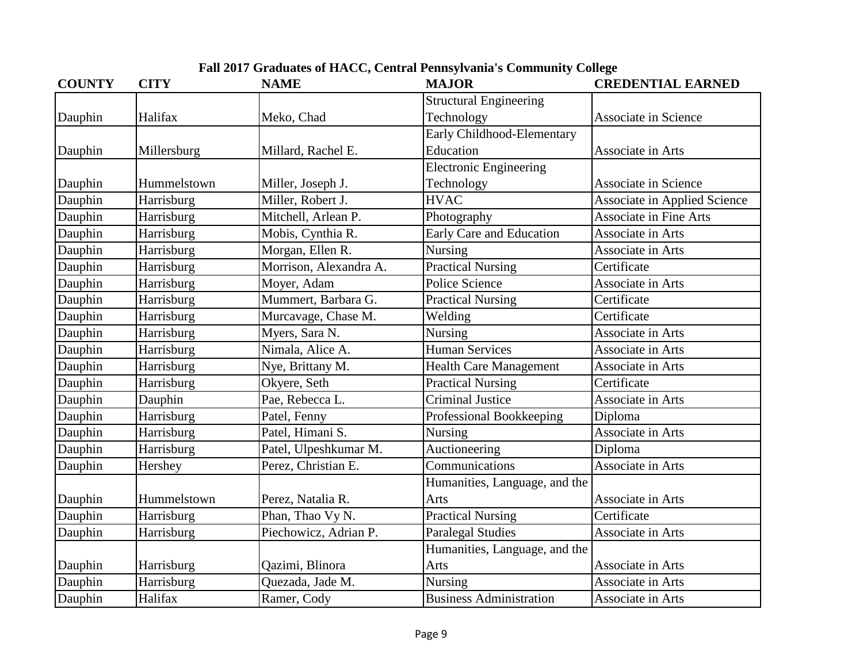| <b>COUNTY</b> | <b>CITY</b> | <b>NAME</b>            | <b>MAJOR</b>                   | <b>CREDENTIAL EARNED</b>            |
|---------------|-------------|------------------------|--------------------------------|-------------------------------------|
|               |             |                        | <b>Structural Engineering</b>  |                                     |
| Dauphin       | Halifax     | Meko, Chad             | Technology                     | <b>Associate in Science</b>         |
|               |             |                        | Early Childhood-Elementary     |                                     |
| Dauphin       | Millersburg | Millard, Rachel E.     | Education                      | Associate in Arts                   |
|               |             |                        | <b>Electronic Engineering</b>  |                                     |
| Dauphin       | Hummelstown | Miller, Joseph J.      | Technology                     | <b>Associate in Science</b>         |
| Dauphin       | Harrisburg  | Miller, Robert J.      | <b>HVAC</b>                    | <b>Associate in Applied Science</b> |
| Dauphin       | Harrisburg  | Mitchell, Arlean P.    | Photography                    | <b>Associate in Fine Arts</b>       |
| Dauphin       | Harrisburg  | Mobis, Cynthia R.      | Early Care and Education       | Associate in Arts                   |
| Dauphin       | Harrisburg  | Morgan, Ellen R.       | Nursing                        | Associate in Arts                   |
| Dauphin       | Harrisburg  | Morrison, Alexandra A. | <b>Practical Nursing</b>       | Certificate                         |
| Dauphin       | Harrisburg  | Moyer, Adam            | Police Science                 | Associate in Arts                   |
| Dauphin       | Harrisburg  | Mummert, Barbara G.    | <b>Practical Nursing</b>       | Certificate                         |
| Dauphin       | Harrisburg  | Murcavage, Chase M.    | Welding                        | Certificate                         |
| Dauphin       | Harrisburg  | Myers, Sara N.         | Nursing                        | Associate in Arts                   |
| Dauphin       | Harrisburg  | Nimala, Alice A.       | <b>Human Services</b>          | Associate in Arts                   |
| Dauphin       | Harrisburg  | Nye, Brittany M.       | <b>Health Care Management</b>  | Associate in Arts                   |
| Dauphin       | Harrisburg  | Okyere, Seth           | <b>Practical Nursing</b>       | Certificate                         |
| Dauphin       | Dauphin     | Pae, Rebecca L.        | <b>Criminal Justice</b>        | Associate in Arts                   |
| Dauphin       | Harrisburg  | Patel, Fenny           | Professional Bookkeeping       | Diploma                             |
| Dauphin       | Harrisburg  | Patel, Himani S.       | Nursing                        | Associate in Arts                   |
| Dauphin       | Harrisburg  | Patel, Ulpeshkumar M.  | Auctioneering                  | Diploma                             |
| Dauphin       | Hershey     | Perez, Christian E.    | Communications                 | Associate in Arts                   |
|               |             |                        | Humanities, Language, and the  |                                     |
| Dauphin       | Hummelstown | Perez, Natalia R.      | Arts                           | Associate in Arts                   |
| Dauphin       | Harrisburg  | Phan, Thao Vy N.       | <b>Practical Nursing</b>       | Certificate                         |
| Dauphin       | Harrisburg  | Piechowicz, Adrian P.  | <b>Paralegal Studies</b>       | Associate in Arts                   |
|               |             |                        | Humanities, Language, and the  |                                     |
| Dauphin       | Harrisburg  | Qazimi, Blinora        | Arts                           | Associate in Arts                   |
| Dauphin       | Harrisburg  | Quezada, Jade M.       | Nursing                        | Associate in Arts                   |
| Dauphin       | Halifax     | Ramer, Cody            | <b>Business Administration</b> | Associate in Arts                   |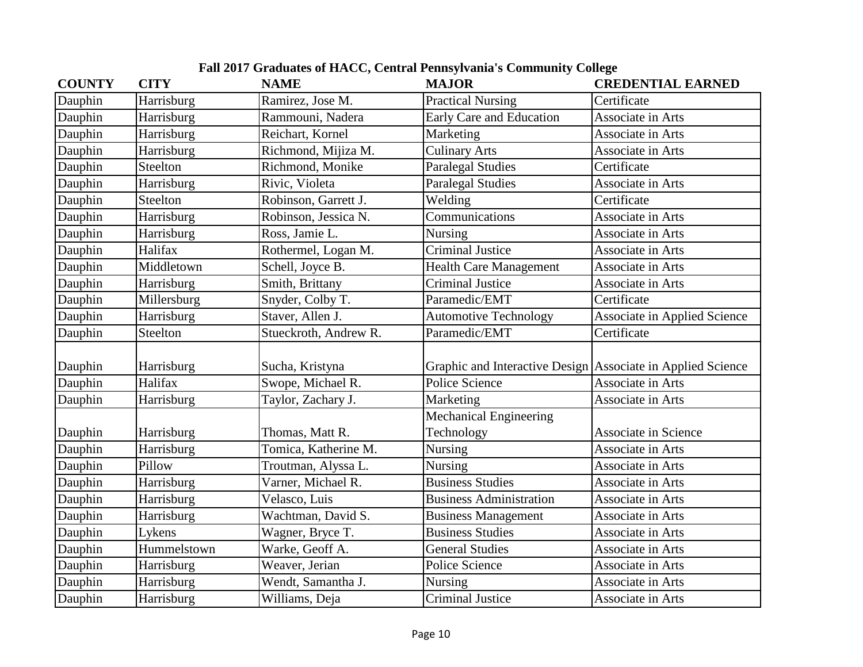| <b>COUNTY</b> | <b>CITY</b> | <b>NAME</b>           | <b>MAJOR</b>                                                | <b>CREDENTIAL EARNED</b>            |
|---------------|-------------|-----------------------|-------------------------------------------------------------|-------------------------------------|
| Dauphin       | Harrisburg  | Ramirez, Jose M.      | <b>Practical Nursing</b>                                    | Certificate                         |
| Dauphin       | Harrisburg  | Rammouni, Nadera      | Early Care and Education                                    | Associate in Arts                   |
| Dauphin       | Harrisburg  | Reichart, Kornel      | Marketing                                                   | Associate in Arts                   |
| Dauphin       | Harrisburg  | Richmond, Mijiza M.   | <b>Culinary Arts</b>                                        | Associate in Arts                   |
| Dauphin       | Steelton    | Richmond, Monike      | <b>Paralegal Studies</b>                                    | Certificate                         |
| Dauphin       | Harrisburg  | Rivic, Violeta        | <b>Paralegal Studies</b>                                    | Associate in Arts                   |
| Dauphin       | Steelton    | Robinson, Garrett J.  | Welding                                                     | Certificate                         |
| Dauphin       | Harrisburg  | Robinson, Jessica N.  | Communications                                              | Associate in Arts                   |
| Dauphin       | Harrisburg  | Ross, Jamie L.        | Nursing                                                     | Associate in Arts                   |
| Dauphin       | Halifax     | Rothermel, Logan M.   | <b>Criminal Justice</b>                                     | Associate in Arts                   |
| Dauphin       | Middletown  | Schell, Joyce B.      | <b>Health Care Management</b>                               | Associate in Arts                   |
| Dauphin       | Harrisburg  | Smith, Brittany       | <b>Criminal Justice</b>                                     | Associate in Arts                   |
| Dauphin       | Millersburg | Snyder, Colby T.      | Paramedic/EMT                                               | Certificate                         |
| Dauphin       | Harrisburg  | Staver, Allen J.      | <b>Automotive Technology</b>                                | <b>Associate in Applied Science</b> |
| Dauphin       | Steelton    | Stueckroth, Andrew R. | Paramedic/EMT                                               | Certificate                         |
|               |             |                       |                                                             |                                     |
| Dauphin       | Harrisburg  | Sucha, Kristyna       | Graphic and Interactive Design Associate in Applied Science |                                     |
| Dauphin       | Halifax     | Swope, Michael R.     | Police Science                                              | Associate in Arts                   |
| Dauphin       | Harrisburg  | Taylor, Zachary J.    | Marketing                                                   | Associate in Arts                   |
|               |             |                       | <b>Mechanical Engineering</b>                               |                                     |
| Dauphin       | Harrisburg  | Thomas, Matt R.       | Technology                                                  | <b>Associate in Science</b>         |
| Dauphin       | Harrisburg  | Tomica, Katherine M.  | Nursing                                                     | Associate in Arts                   |
| Dauphin       | Pillow      | Troutman, Alyssa L.   | <b>Nursing</b>                                              | Associate in Arts                   |
| Dauphin       | Harrisburg  | Varner, Michael R.    | <b>Business Studies</b>                                     | Associate in Arts                   |
| Dauphin       | Harrisburg  | Velasco, Luis         | <b>Business Administration</b>                              | Associate in Arts                   |
| Dauphin       | Harrisburg  | Wachtman, David S.    | <b>Business Management</b>                                  | Associate in Arts                   |
| Dauphin       | Lykens      | Wagner, Bryce T.      | <b>Business Studies</b>                                     | Associate in Arts                   |
| Dauphin       | Hummelstown | Warke, Geoff A.       | <b>General Studies</b>                                      | Associate in Arts                   |
| Dauphin       | Harrisburg  | Weaver, Jerian        | Police Science                                              | Associate in Arts                   |
| Dauphin       | Harrisburg  | Wendt, Samantha J.    | Nursing                                                     | Associate in Arts                   |
| Dauphin       | Harrisburg  | Williams, Deja        | <b>Criminal Justice</b>                                     | Associate in Arts                   |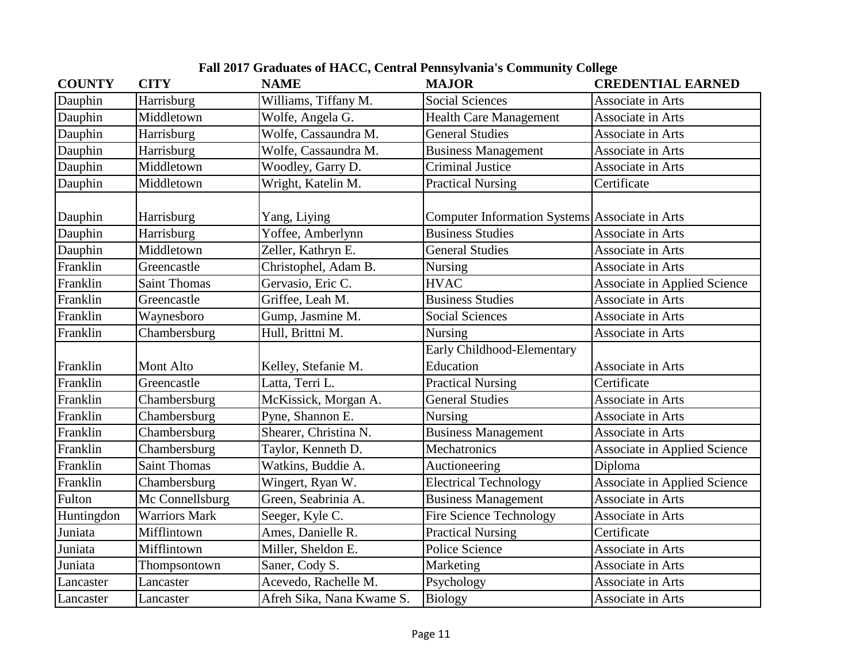| <b>COUNTY</b> | <b>CITY</b>          | <b>NAME</b>               | <b>MAJOR</b>                                   | <b>CREDENTIAL EARNED</b>            |
|---------------|----------------------|---------------------------|------------------------------------------------|-------------------------------------|
| Dauphin       | Harrisburg           | Williams, Tiffany M.      | <b>Social Sciences</b>                         | Associate in Arts                   |
| Dauphin       | Middletown           | Wolfe, Angela G.          | <b>Health Care Management</b>                  | Associate in Arts                   |
| Dauphin       | Harrisburg           | Wolfe, Cassaundra M.      | <b>General Studies</b>                         | Associate in Arts                   |
| Dauphin       | Harrisburg           | Wolfe, Cassaundra M.      | <b>Business Management</b>                     | Associate in Arts                   |
| Dauphin       | Middletown           | Woodley, Garry D.         | <b>Criminal Justice</b>                        | Associate in Arts                   |
| Dauphin       | Middletown           | Wright, Katelin M.        | <b>Practical Nursing</b>                       | Certificate                         |
| Dauphin       | Harrisburg           | Yang, Liying              | Computer Information Systems Associate in Arts |                                     |
| Dauphin       | Harrisburg           | Yoffee, Amberlynn         | <b>Business Studies</b>                        | Associate in Arts                   |
| Dauphin       | Middletown           | Zeller, Kathryn E.        | <b>General Studies</b>                         | Associate in Arts                   |
| Franklin      | Greencastle          | Christophel, Adam B.      | <b>Nursing</b>                                 | Associate in Arts                   |
| Franklin      | <b>Saint Thomas</b>  | Gervasio, Eric C.         | <b>HVAC</b>                                    | <b>Associate in Applied Science</b> |
| Franklin      | Greencastle          | Griffee, Leah M.          | <b>Business Studies</b>                        | Associate in Arts                   |
| Franklin      | Waynesboro           | Gump, Jasmine M.          | <b>Social Sciences</b>                         | Associate in Arts                   |
| Franklin      | Chambersburg         | Hull, Brittni M.          | <b>Nursing</b>                                 | Associate in Arts                   |
| Franklin      | Mont Alto            | Kelley, Stefanie M.       | Early Childhood-Elementary<br>Education        | Associate in Arts                   |
| Franklin      | Greencastle          | Latta, Terri L.           | <b>Practical Nursing</b>                       | Certificate                         |
| Franklin      | Chambersburg         | McKissick, Morgan A.      | <b>General Studies</b>                         | Associate in Arts                   |
| Franklin      | Chambersburg         | Pyne, Shannon E.          | <b>Nursing</b>                                 | Associate in Arts                   |
| Franklin      | Chambersburg         | Shearer, Christina N.     | <b>Business Management</b>                     | Associate in Arts                   |
| Franklin      | Chambersburg         | Taylor, Kenneth D.        | Mechatronics                                   | <b>Associate in Applied Science</b> |
| Franklin      | <b>Saint Thomas</b>  | Watkins, Buddie A.        | Auctioneering                                  | Diploma                             |
| Franklin      | Chambersburg         | Wingert, Ryan W.          | <b>Electrical Technology</b>                   | <b>Associate in Applied Science</b> |
| Fulton        | Mc Connellsburg      | Green, Seabrinia A.       | <b>Business Management</b>                     | Associate in Arts                   |
| Huntingdon    | <b>Warriors Mark</b> | Seeger, Kyle C.           | <b>Fire Science Technology</b>                 | Associate in Arts                   |
| Juniata       | Mifflintown          | Ames, Danielle R.         | <b>Practical Nursing</b>                       | Certificate                         |
| Juniata       | Mifflintown          | Miller, Sheldon E.        | Police Science                                 | Associate in Arts                   |
| Juniata       | Thompsontown         | Saner, Cody S.            | Marketing                                      | Associate in Arts                   |
| Lancaster     | Lancaster            | Acevedo, Rachelle M.      | Psychology                                     | Associate in Arts                   |
| Lancaster     | Lancaster            | Afreh Sika, Nana Kwame S. | Biology                                        | Associate in Arts                   |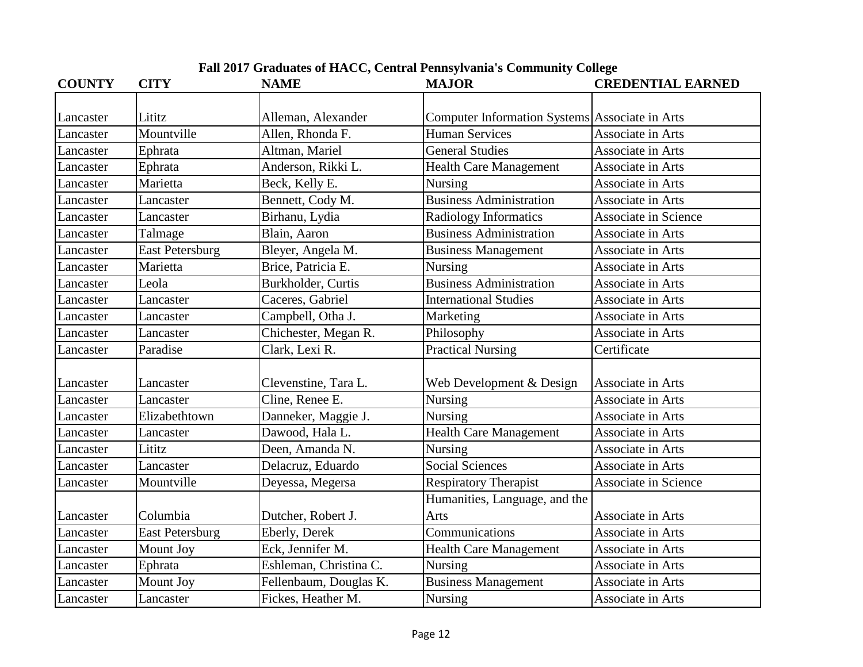| <b>COUNTY</b> | <b>CITY</b>            | <b>NAME</b>            | <b>MAJOR</b>                                   | <b>CREDENTIAL EARNED</b>    |
|---------------|------------------------|------------------------|------------------------------------------------|-----------------------------|
|               |                        |                        |                                                |                             |
| Lancaster     | Lititz                 | Alleman, Alexander     | Computer Information Systems Associate in Arts |                             |
| Lancaster     | Mountville             | Allen, Rhonda F.       | <b>Human Services</b>                          | Associate in Arts           |
| Lancaster     | Ephrata                | Altman, Mariel         | <b>General Studies</b>                         | Associate in Arts           |
| Lancaster     | Ephrata                | Anderson, Rikki L.     | <b>Health Care Management</b>                  | Associate in Arts           |
| Lancaster     | Marietta               | Beck, Kelly E.         | Nursing                                        | Associate in Arts           |
| Lancaster     | Lancaster              | Bennett, Cody M.       | <b>Business Administration</b>                 | Associate in Arts           |
| Lancaster     | Lancaster              | Birhanu, Lydia         | Radiology Informatics                          | <b>Associate in Science</b> |
| Lancaster     | Talmage                | Blain, Aaron           | <b>Business Administration</b>                 | Associate in Arts           |
| Lancaster     | <b>East Petersburg</b> | Bleyer, Angela M.      | <b>Business Management</b>                     | Associate in Arts           |
| Lancaster     | Marietta               | Brice, Patricia E.     | Nursing                                        | Associate in Arts           |
| Lancaster     | Leola                  | Burkholder, Curtis     | <b>Business Administration</b>                 | Associate in Arts           |
| Lancaster     | Lancaster              | Caceres, Gabriel       | <b>International Studies</b>                   | Associate in Arts           |
| Lancaster     | Lancaster              | Campbell, Otha J.      | Marketing                                      | Associate in Arts           |
| Lancaster     | Lancaster              | Chichester, Megan R.   | Philosophy                                     | Associate in Arts           |
| Lancaster     | Paradise               | Clark, Lexi R.         | <b>Practical Nursing</b>                       | Certificate                 |
|               |                        |                        |                                                |                             |
| Lancaster     | Lancaster              | Clevenstine, Tara L.   | Web Development & Design                       | Associate in Arts           |
| Lancaster     | Lancaster              | Cline, Renee E.        | Nursing                                        | Associate in Arts           |
| Lancaster     | Elizabethtown          | Danneker, Maggie J.    | <b>Nursing</b>                                 | Associate in Arts           |
| Lancaster     | Lancaster              | Dawood, Hala L.        | <b>Health Care Management</b>                  | Associate in Arts           |
| Lancaster     | Lititz                 | Deen, Amanda N.        | Nursing                                        | Associate in Arts           |
| Lancaster     | Lancaster              | Delacruz, Eduardo      | <b>Social Sciences</b>                         | Associate in Arts           |
| Lancaster     | Mountville             | Deyessa, Megersa       | <b>Respiratory Therapist</b>                   | <b>Associate in Science</b> |
|               |                        |                        | Humanities, Language, and the                  |                             |
| Lancaster     | Columbia               | Dutcher, Robert J.     | Arts                                           | Associate in Arts           |
| Lancaster     | <b>East Petersburg</b> | Eberly, Derek          | Communications                                 | Associate in Arts           |
| Lancaster     | Mount Joy              | Eck, Jennifer M.       | <b>Health Care Management</b>                  | Associate in Arts           |
| Lancaster     | Ephrata                | Eshleman, Christina C. | <b>Nursing</b>                                 | Associate in Arts           |
| Lancaster     | Mount Joy              | Fellenbaum, Douglas K. | <b>Business Management</b>                     | Associate in Arts           |
| Lancaster     | Lancaster              | Fickes, Heather M.     | Nursing                                        | Associate in Arts           |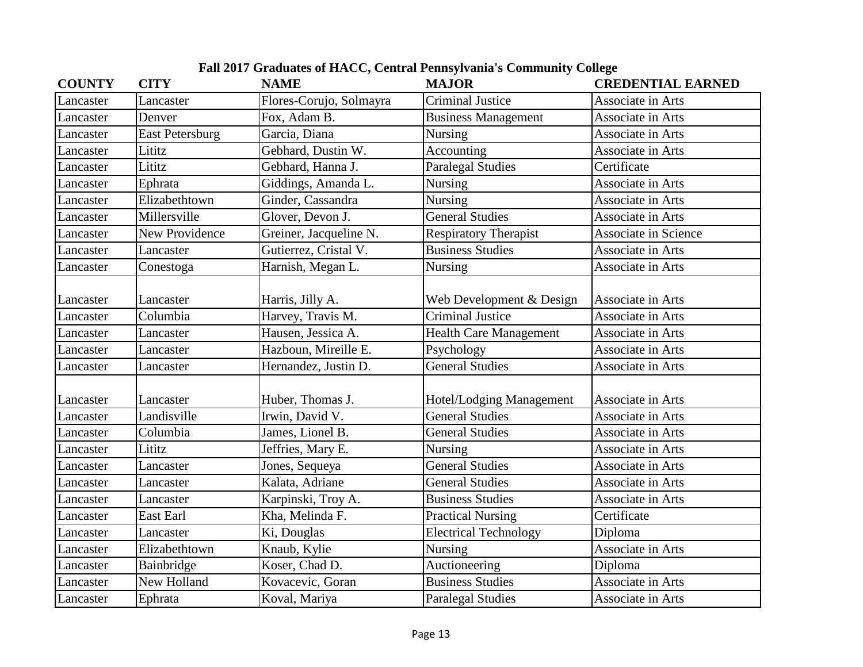| <b>COUNTY</b> | <b>CITY</b>            | <b>NAME</b>             | <b>MAJOR</b>                  | <b>CREDENTIAL EARNED</b> |
|---------------|------------------------|-------------------------|-------------------------------|--------------------------|
| Lancaster     | Lancaster              | Flores-Corujo, Solmayra | <b>Criminal Justice</b>       | Associate in Arts        |
| Lancaster     | Denver                 | Fox, Adam B.            | <b>Business Management</b>    | Associate in Arts        |
| Lancaster     | <b>East Petersburg</b> | Garcia, Diana           | <b>Nursing</b>                | Associate in Arts        |
| Lancaster     | Lititz                 | Gebhard, Dustin W.      | Accounting                    | Associate in Arts        |
| Lancaster     | Lititz                 | Gebhard, Hanna J.       | <b>Paralegal Studies</b>      | Certificate              |
| Lancaster     | Ephrata                | Giddings, Amanda L.     | <b>Nursing</b>                | Associate in Arts        |
| Lancaster     | Elizabethtown          | Ginder, Cassandra       | Nursing                       | Associate in Arts        |
| Lancaster     | Millersville           | Glover, Devon J.        | <b>General Studies</b>        | Associate in Arts        |
| Lancaster     | <b>New Providence</b>  | Greiner, Jacqueline N.  | <b>Respiratory Therapist</b>  | Associate in Science     |
| Lancaster     | Lancaster              | Gutierrez, Cristal V.   | <b>Business Studies</b>       | Associate in Arts        |
| Lancaster     | Conestoga              | Harnish, Megan L.       | Nursing                       | Associate in Arts        |
|               |                        |                         |                               |                          |
| Lancaster     | Lancaster              | Harris, Jilly A.        | Web Development & Design      | Associate in Arts        |
| Lancaster     | Columbia               | Harvey, Travis M.       | <b>Criminal Justice</b>       | Associate in Arts        |
| Lancaster     | Lancaster              | Hausen, Jessica A.      | <b>Health Care Management</b> | Associate in Arts        |
| Lancaster     | Lancaster              | Hazboun, Mireille E.    | Psychology                    | Associate in Arts        |
| Lancaster     | Lancaster              | Hernandez, Justin D.    | General Studies               | Associate in Arts        |
|               |                        |                         |                               |                          |
| Lancaster     | Lancaster              | Huber, Thomas J.        | Hotel/Lodging Management      | Associate in Arts        |
| Lancaster     | Landisville            | Irwin, David V.         | <b>General Studies</b>        | Associate in Arts        |
| Lancaster     | Columbia               | James, Lionel B.        | <b>General Studies</b>        | Associate in Arts        |
| Lancaster     | Lititz                 | Jeffries, Mary E.       | Nursing                       | Associate in Arts        |
| Lancaster     | Lancaster              | Jones, Sequeya          | General Studies               | Associate in Arts        |
| Lancaster     | Lancaster              | Kalata, Adriane         | <b>General Studies</b>        | Associate in Arts        |
| Lancaster     | Lancaster              | Karpinski, Troy A.      | <b>Business Studies</b>       | Associate in Arts        |
| Lancaster     | East Earl              | Kha, Melinda F.         | <b>Practical Nursing</b>      | Certificate              |
| Lancaster     | Lancaster              | Ki, Douglas             | <b>Electrical Technology</b>  | Diploma                  |
| Lancaster     | Elizabethtown          | Knaub, Kylie            | Nursing                       | Associate in Arts        |
| Lancaster     | Bainbridge             | Koser, Chad D.          | Auctioneering                 | Diploma                  |
| Lancaster     | New Holland            | Kovacevic, Goran        | <b>Business Studies</b>       | Associate in Arts        |
| Lancaster     | Ephrata                | Koval, Mariya           | <b>Paralegal Studies</b>      | Associate in Arts        |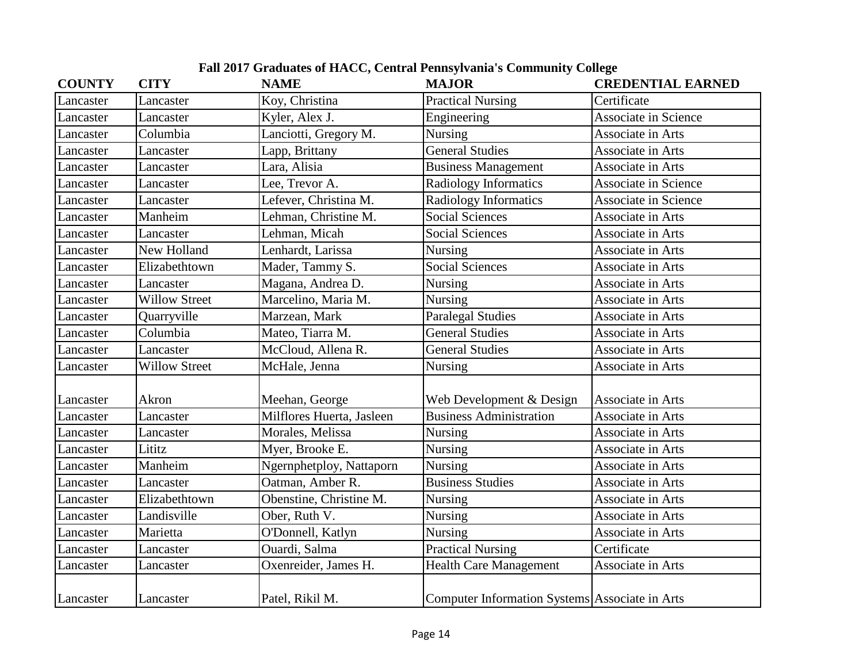| <b>COUNTY</b> | <b>CITY</b>          | <b>NAME</b>               | <b>MAJOR</b>                                   | <b>CREDENTIAL EARNED</b>    |
|---------------|----------------------|---------------------------|------------------------------------------------|-----------------------------|
| Lancaster     | Lancaster            | Koy, Christina            | <b>Practical Nursing</b>                       | Certificate                 |
| Lancaster     | Lancaster            | Kyler, Alex J.            | Engineering                                    | Associate in Science        |
| Lancaster     | Columbia             | Lanciotti, Gregory M.     | Nursing                                        | Associate in Arts           |
| Lancaster     | Lancaster            | Lapp, Brittany            | <b>General Studies</b>                         | Associate in Arts           |
| Lancaster     | Lancaster            | Lara, Alisia              | <b>Business Management</b>                     | Associate in Arts           |
| Lancaster     | Lancaster            | Lee, Trevor A.            | <b>Radiology Informatics</b>                   | <b>Associate in Science</b> |
| Lancaster     | Lancaster            | Lefever, Christina M.     | Radiology Informatics                          | <b>Associate in Science</b> |
| Lancaster     | Manheim              | Lehman, Christine M.      | <b>Social Sciences</b>                         | Associate in Arts           |
| Lancaster     | Lancaster            | Lehman, Micah             | <b>Social Sciences</b>                         | Associate in Arts           |
| Lancaster     | New Holland          | Lenhardt, Larissa         | <b>Nursing</b>                                 | Associate in Arts           |
| Lancaster     | Elizabethtown        | Mader, Tammy S.           | Social Sciences                                | Associate in Arts           |
| Lancaster     | Lancaster            | Magana, Andrea D.         | <b>Nursing</b>                                 | Associate in Arts           |
| Lancaster     | <b>Willow Street</b> | Marcelino, Maria M.       | <b>Nursing</b>                                 | Associate in Arts           |
| Lancaster     | Quarryville          | Marzean, Mark             | <b>Paralegal Studies</b>                       | Associate in Arts           |
| Lancaster     | Columbia             | Mateo, Tiarra M.          | <b>General Studies</b>                         | Associate in Arts           |
| Lancaster     | Lancaster            | McCloud, Allena R.        | <b>General Studies</b>                         | Associate in Arts           |
| Lancaster     | <b>Willow Street</b> | McHale, Jenna             | <b>Nursing</b>                                 | Associate in Arts           |
|               |                      |                           |                                                |                             |
| Lancaster     | Akron                | Meehan, George            | Web Development & Design                       | Associate in Arts           |
| Lancaster     | Lancaster            | Milflores Huerta, Jasleen | <b>Business Administration</b>                 | Associate in Arts           |
| Lancaster     | Lancaster            | Morales, Melissa          | Nursing                                        | Associate in Arts           |
| Lancaster     | Lititz               | Myer, Brooke E.           | Nursing                                        | Associate in Arts           |
| Lancaster     | Manheim              | Ngernphetploy, Nattaporn  | Nursing                                        | Associate in Arts           |
| Lancaster     | Lancaster            | Oatman, Amber R.          | <b>Business Studies</b>                        | Associate in Arts           |
| Lancaster     | Elizabethtown        | Obenstine, Christine M.   | Nursing                                        | Associate in Arts           |
| Lancaster     | Landisville          | Ober, Ruth V.             | <b>Nursing</b>                                 | Associate in Arts           |
| Lancaster     | Marietta             | O'Donnell, Katlyn         | Nursing                                        | Associate in Arts           |
| Lancaster     | Lancaster            | Ouardi, Salma             | <b>Practical Nursing</b>                       | Certificate                 |
| Lancaster     | Lancaster            | Oxenreider, James H.      | <b>Health Care Management</b>                  | Associate in Arts           |
| Lancaster     | Lancaster            | Patel, Rikil M.           | Computer Information Systems Associate in Arts |                             |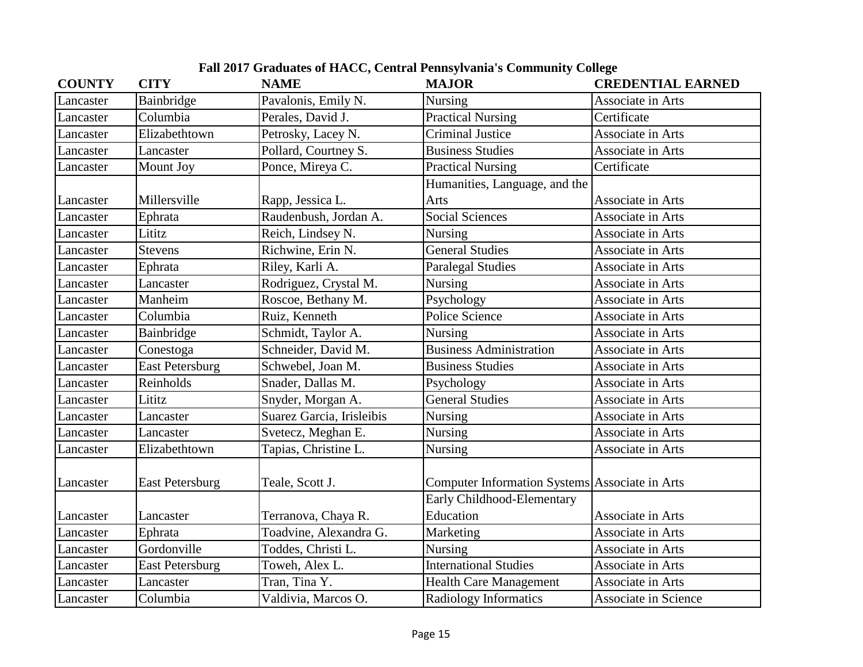| <b>COUNTY</b> | <b>CITY</b>            | <b>NAME</b>               | <b>MAJOR</b>                                   | <b>CREDENTIAL EARNED</b> |
|---------------|------------------------|---------------------------|------------------------------------------------|--------------------------|
| Lancaster     | Bainbridge             | Pavalonis, Emily N.       | Nursing                                        | Associate in Arts        |
| Lancaster     | Columbia               | Perales, David J.         | <b>Practical Nursing</b>                       | Certificate              |
| Lancaster     | Elizabethtown          | Petrosky, Lacey N.        | <b>Criminal Justice</b>                        | Associate in Arts        |
| Lancaster     | Lancaster              | Pollard, Courtney S.      | <b>Business Studies</b>                        | Associate in Arts        |
| Lancaster     | Mount Joy              | Ponce, Mireya C.          | <b>Practical Nursing</b>                       | Certificate              |
|               |                        |                           | Humanities, Language, and the                  |                          |
| Lancaster     | Millersville           | Rapp, Jessica L.          | Arts                                           | Associate in Arts        |
| Lancaster     | Ephrata                | Raudenbush, Jordan A.     | <b>Social Sciences</b>                         | Associate in Arts        |
| Lancaster     | Lititz                 | Reich, Lindsey N.         | Nursing                                        | Associate in Arts        |
| Lancaster     | <b>Stevens</b>         | Richwine, Erin N.         | General Studies                                | Associate in Arts        |
| Lancaster     | Ephrata                | Riley, Karli A.           | <b>Paralegal Studies</b>                       | Associate in Arts        |
| Lancaster     | Lancaster              | Rodriguez, Crystal M.     | Nursing                                        | Associate in Arts        |
| Lancaster     | Manheim                | Roscoe, Bethany M.        | Psychology                                     | Associate in Arts        |
| Lancaster     | Columbia               | Ruiz, Kenneth             | Police Science                                 | Associate in Arts        |
| Lancaster     | Bainbridge             | Schmidt, Taylor A.        | Nursing                                        | Associate in Arts        |
| Lancaster     | Conestoga              | Schneider, David M.       | <b>Business Administration</b>                 | Associate in Arts        |
| Lancaster     | <b>East Petersburg</b> | Schwebel, Joan M.         | <b>Business Studies</b>                        | Associate in Arts        |
| Lancaster     | Reinholds              | Snader, Dallas M.         | Psychology                                     | Associate in Arts        |
| Lancaster     | Lititz                 | Snyder, Morgan A.         | <b>General Studies</b>                         | Associate in Arts        |
| Lancaster     | Lancaster              | Suarez Garcia, Irisleibis | <b>Nursing</b>                                 | Associate in Arts        |
| Lancaster     | Lancaster              | Svetecz, Meghan E.        | Nursing                                        | Associate in Arts        |
| Lancaster     | Elizabethtown          | Tapias, Christine L.      | Nursing                                        | Associate in Arts        |
|               |                        |                           |                                                |                          |
| Lancaster     | <b>East Petersburg</b> | Teale, Scott J.           | Computer Information Systems Associate in Arts |                          |
|               |                        |                           | Early Childhood-Elementary                     |                          |
| Lancaster     | Lancaster              | Terranova, Chaya R.       | Education                                      | Associate in Arts        |
| Lancaster     | Ephrata                | Toadvine, Alexandra G.    | Marketing                                      | Associate in Arts        |
| Lancaster     | Gordonville            | Toddes, Christi L.        | <b>Nursing</b>                                 | Associate in Arts        |
| Lancaster     | <b>East Petersburg</b> | Toweh, Alex L.            | <b>International Studies</b>                   | Associate in Arts        |
| Lancaster     | Lancaster              | Tran, Tina Y.             | <b>Health Care Management</b>                  | Associate in Arts        |
| Lancaster     | Columbia               | Valdivia, Marcos O.       | <b>Radiology Informatics</b>                   | Associate in Science     |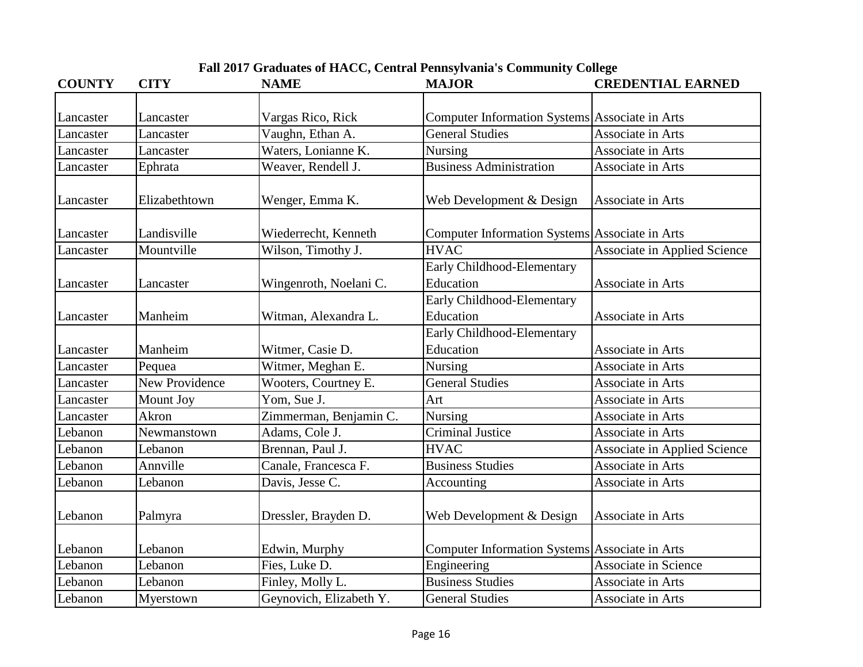| <b>COUNTY</b> | <b>CITY</b>           | <b>NAME</b>             | <b>MAJOR</b>                                   | <b>CREDENTIAL EARNED</b>            |
|---------------|-----------------------|-------------------------|------------------------------------------------|-------------------------------------|
| Lancaster     | Lancaster             | Vargas Rico, Rick       | Computer Information Systems Associate in Arts |                                     |
| Lancaster     | Lancaster             | Vaughn, Ethan A.        | <b>General Studies</b>                         | Associate in Arts                   |
| Lancaster     | Lancaster             | Waters, Lonianne K.     | Nursing                                        | Associate in Arts                   |
|               | Ephrata               | Weaver, Rendell J.      | <b>Business Administration</b>                 | Associate in Arts                   |
| Lancaster     |                       |                         |                                                |                                     |
| Lancaster     | Elizabethtown         | Wenger, Emma K.         | Web Development & Design                       | Associate in Arts                   |
| Lancaster     | Landisville           | Wiederrecht, Kenneth    | Computer Information Systems Associate in Arts |                                     |
| Lancaster     | Mountville            | Wilson, Timothy J.      | <b>HVAC</b>                                    | <b>Associate in Applied Science</b> |
|               |                       |                         | Early Childhood-Elementary                     |                                     |
| Lancaster     | Lancaster             | Wingenroth, Noelani C.  | Education                                      | Associate in Arts                   |
|               |                       |                         | Early Childhood-Elementary                     |                                     |
| Lancaster     | Manheim               | Witman, Alexandra L.    | Education                                      | Associate in Arts                   |
|               |                       |                         | Early Childhood-Elementary                     |                                     |
| Lancaster     | Manheim               | Witmer, Casie D.        | Education                                      | Associate in Arts                   |
| Lancaster     | Pequea                | Witmer, Meghan E.       | Nursing                                        | Associate in Arts                   |
| Lancaster     | <b>New Providence</b> | Wooters, Courtney E.    | <b>General Studies</b>                         | Associate in Arts                   |
| Lancaster     | Mount Joy             | Yom, Sue J.             | Art                                            | Associate in Arts                   |
| Lancaster     | Akron                 | Zimmerman, Benjamin C.  | Nursing                                        | Associate in Arts                   |
| Lebanon       | Newmanstown           | Adams, Cole J.          | <b>Criminal Justice</b>                        | Associate in Arts                   |
| Lebanon       | Lebanon               | Brennan, Paul J.        | <b>HVAC</b>                                    | <b>Associate in Applied Science</b> |
| Lebanon       | Annville              | Canale, Francesca F.    | <b>Business Studies</b>                        | Associate in Arts                   |
| Lebanon       | Lebanon               | Davis, Jesse C.         | Accounting                                     | Associate in Arts                   |
| Lebanon       | Palmyra               | Dressler, Brayden D.    | Web Development & Design                       | Associate in Arts                   |
| Lebanon       | Lebanon               | Edwin, Murphy           | Computer Information Systems Associate in Arts |                                     |
| Lebanon       | Lebanon               | Fies, Luke D.           | Engineering                                    | <b>Associate in Science</b>         |
| Lebanon       | Lebanon               | Finley, Molly L.        | <b>Business Studies</b>                        | Associate in Arts                   |
| Lebanon       | Myerstown             | Geynovich, Elizabeth Y. | <b>General Studies</b>                         | Associate in Arts                   |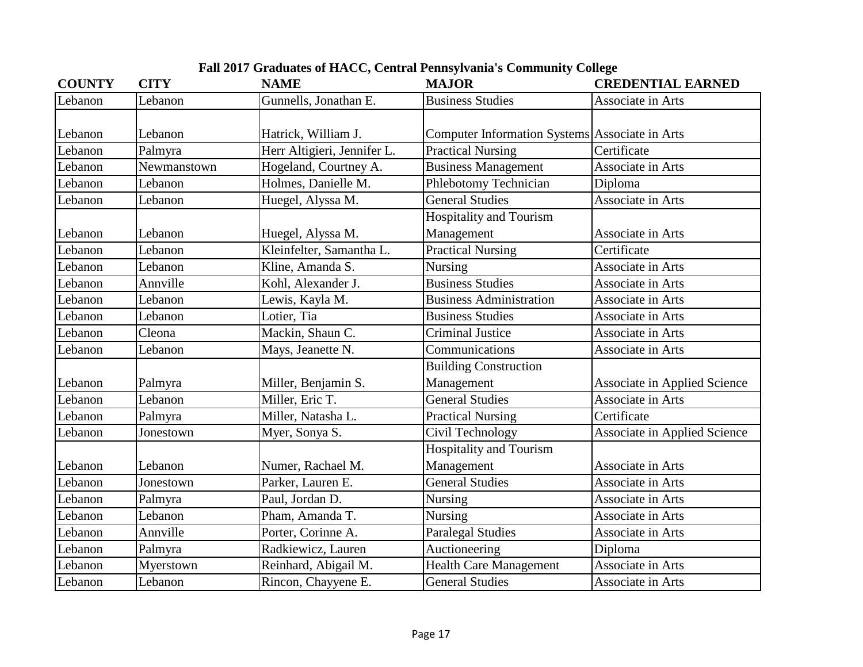| <b>COUNTY</b> | <b>CITY</b> | <b>NAME</b>                 | <b>MAJOR</b>                                   | <b>CREDENTIAL EARNED</b>            |
|---------------|-------------|-----------------------------|------------------------------------------------|-------------------------------------|
| Lebanon       | Lebanon     | Gunnells, Jonathan E.       | <b>Business Studies</b>                        | Associate in Arts                   |
|               |             |                             |                                                |                                     |
| Lebanon       | Lebanon     | Hatrick, William J.         | Computer Information Systems Associate in Arts |                                     |
| Lebanon       | Palmyra     | Herr Altigieri, Jennifer L. | <b>Practical Nursing</b>                       | Certificate                         |
| Lebanon       | Newmanstown | Hogeland, Courtney A.       | <b>Business Management</b>                     | Associate in Arts                   |
| Lebanon       | Lebanon     | Holmes, Danielle M.         | Phlebotomy Technician                          | Diploma                             |
| Lebanon       | Lebanon     | Huegel, Alyssa M.           | <b>General Studies</b>                         | Associate in Arts                   |
|               |             |                             | <b>Hospitality and Tourism</b>                 |                                     |
| Lebanon       | Lebanon     | Huegel, Alyssa M.           | Management                                     | Associate in Arts                   |
| Lebanon       | Lebanon     | Kleinfelter, Samantha L.    | <b>Practical Nursing</b>                       | Certificate                         |
| Lebanon       | Lebanon     | Kline, Amanda S.            | Nursing                                        | Associate in Arts                   |
| Lebanon       | Annville    | Kohl, Alexander J.          | <b>Business Studies</b>                        | Associate in Arts                   |
| Lebanon       | Lebanon     | Lewis, Kayla M.             | <b>Business Administration</b>                 | Associate in Arts                   |
| Lebanon       | Lebanon     | Lotier, Tia                 | <b>Business Studies</b>                        | Associate in Arts                   |
| Lebanon       | Cleona      | Mackin, Shaun C.            | <b>Criminal Justice</b>                        | Associate in Arts                   |
| Lebanon       | Lebanon     | Mays, Jeanette N.           | Communications                                 | Associate in Arts                   |
|               |             |                             | <b>Building Construction</b>                   |                                     |
| Lebanon       | Palmyra     | Miller, Benjamin S.         | Management                                     | <b>Associate in Applied Science</b> |
| Lebanon       | Lebanon     | Miller, Eric T.             | <b>General Studies</b>                         | <b>Associate in Arts</b>            |
| Lebanon       | Palmyra     | Miller, Natasha L.          | <b>Practical Nursing</b>                       | Certificate                         |
| Lebanon       | Jonestown   | Myer, Sonya S.              | Civil Technology                               | <b>Associate in Applied Science</b> |
|               |             |                             | <b>Hospitality and Tourism</b>                 |                                     |
| Lebanon       | Lebanon     | Numer, Rachael M.           | Management                                     | Associate in Arts                   |
| Lebanon       | Jonestown   | Parker, Lauren E.           | <b>General Studies</b>                         | Associate in Arts                   |
| Lebanon       | Palmyra     | Paul, Jordan D.             | Nursing                                        | Associate in Arts                   |
| Lebanon       | Lebanon     | Pham, Amanda T.             | Nursing                                        | Associate in Arts                   |
| Lebanon       | Annville    | Porter, Corinne A.          | <b>Paralegal Studies</b>                       | Associate in Arts                   |
| Lebanon       | Palmyra     | Radkiewicz, Lauren          | Auctioneering                                  | Diploma                             |
| Lebanon       | Myerstown   | Reinhard, Abigail M.        | <b>Health Care Management</b>                  | Associate in Arts                   |
| Lebanon       | Lebanon     | Rincon, Chayyene E.         | <b>General Studies</b>                         | Associate in Arts                   |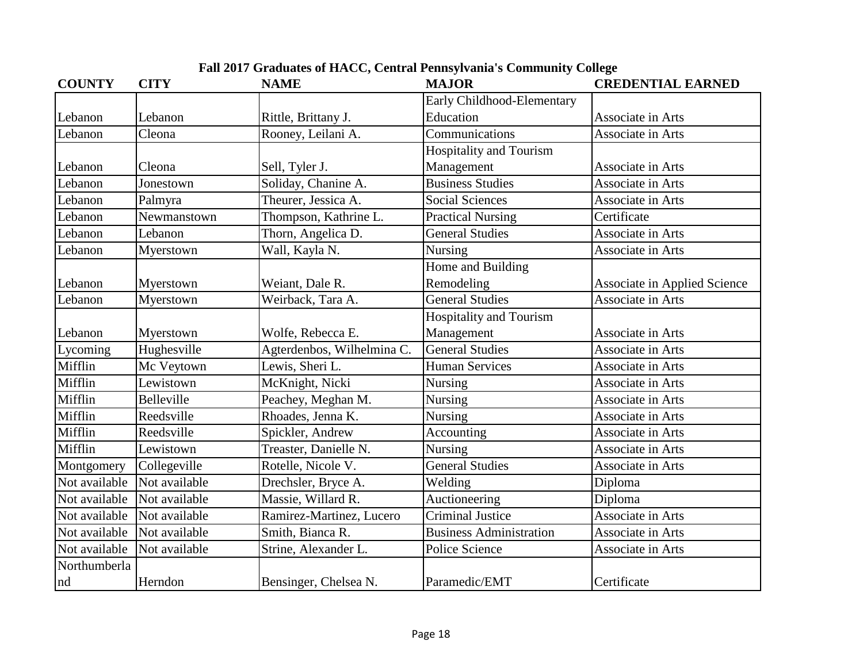|  | Fall 2017 Graduates of HACC, Central Pennsylvania's Community College |  |  |  |
|--|-----------------------------------------------------------------------|--|--|--|
|--|-----------------------------------------------------------------------|--|--|--|

| <b>COUNTY</b> | <b>CITY</b>   | <b>NAME</b>                | <b>MAJOR</b>                   | <b>CREDENTIAL EARNED</b>            |
|---------------|---------------|----------------------------|--------------------------------|-------------------------------------|
|               |               |                            | Early Childhood-Elementary     |                                     |
| Lebanon       | Lebanon       | Rittle, Brittany J.        | Education                      | Associate in Arts                   |
| Lebanon       | Cleona        | Rooney, Leilani A.         | Communications                 | Associate in Arts                   |
|               |               |                            | Hospitality and Tourism        |                                     |
| Lebanon       | Cleona        | Sell, Tyler J.             | Management                     | Associate in Arts                   |
| Lebanon       | Jonestown     | Soliday, Chanine A.        | <b>Business Studies</b>        | Associate in Arts                   |
| Lebanon       | Palmyra       | Theurer, Jessica A.        | <b>Social Sciences</b>         | Associate in Arts                   |
| Lebanon       | Newmanstown   | Thompson, Kathrine L.      | <b>Practical Nursing</b>       | Certificate                         |
| Lebanon       | Lebanon       | Thorn, Angelica D.         | <b>General Studies</b>         | Associate in Arts                   |
| Lebanon       | Myerstown     | Wall, Kayla N.             | Nursing                        | Associate in Arts                   |
|               |               |                            | Home and Building              |                                     |
| Lebanon       | Myerstown     | Weiant, Dale R.            | Remodeling                     | <b>Associate in Applied Science</b> |
| Lebanon       | Myerstown     | Weirback, Tara A.          | <b>General Studies</b>         | Associate in Arts                   |
|               |               |                            | <b>Hospitality and Tourism</b> |                                     |
| Lebanon       | Myerstown     | Wolfe, Rebecca E.          | Management                     | Associate in Arts                   |
| Lycoming      | Hughesville   | Agterdenbos, Wilhelmina C. | <b>General Studies</b>         | Associate in Arts                   |
| Mifflin       | Mc Veytown    | Lewis, Sheri L.            | <b>Human Services</b>          | Associate in Arts                   |
| Mifflin       | Lewistown     | McKnight, Nicki            | Nursing                        | Associate in Arts                   |
| Mifflin       | Belleville    | Peachey, Meghan M.         | Nursing                        | Associate in Arts                   |
| Mifflin       | Reedsville    | Rhoades, Jenna K.          | Nursing                        | Associate in Arts                   |
| Mifflin       | Reedsville    | Spickler, Andrew           | Accounting                     | Associate in Arts                   |
| Mifflin       | Lewistown     | Treaster, Danielle N.      | Nursing                        | Associate in Arts                   |
| Montgomery    | Collegeville  | Rotelle, Nicole V.         | <b>General Studies</b>         | Associate in Arts                   |
| Not available | Not available | Drechsler, Bryce A.        | Welding                        | Diploma                             |
| Not available | Not available | Massie, Willard R.         | Auctioneering                  | Diploma                             |
| Not available | Not available | Ramirez-Martinez, Lucero   | <b>Criminal Justice</b>        | Associate in Arts                   |
| Not available | Not available | Smith, Bianca R.           | Business Administration        | Associate in Arts                   |
| Not available | Not available | Strine, Alexander L.       | Police Science                 | Associate in Arts                   |
| Northumberla  |               |                            |                                |                                     |
| nd            | Herndon       | Bensinger, Chelsea N.      | Paramedic/EMT                  | Certificate                         |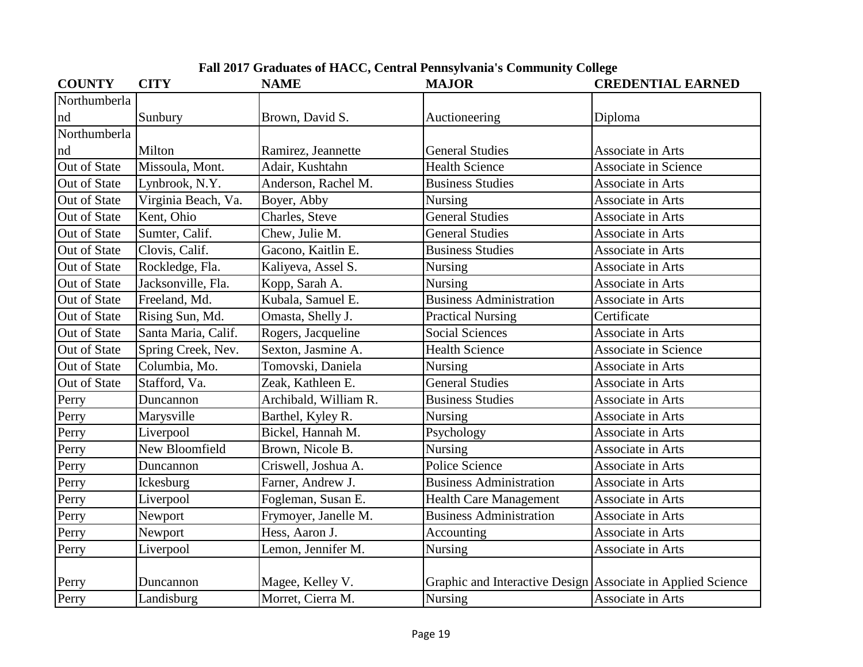| <b>Fall 2017 Graduates of HACC, Central Pennsylvania's Community College</b> |  |
|------------------------------------------------------------------------------|--|
|                                                                              |  |

| <b>COUNTY</b>       | <b>CITY</b>         | <b>NAME</b>           | <b>MAJOR</b>                                                | <b>CREDENTIAL EARNED</b>    |
|---------------------|---------------------|-----------------------|-------------------------------------------------------------|-----------------------------|
| Northumberla        |                     |                       |                                                             |                             |
| nd                  | Sunbury             | Brown, David S.       | Auctioneering                                               | Diploma                     |
| Northumberla        |                     |                       |                                                             |                             |
| nd                  | Milton              | Ramirez, Jeannette    | <b>General Studies</b>                                      | Associate in Arts           |
| Out of State        | Missoula, Mont.     | Adair, Kushtahn       | <b>Health Science</b>                                       | <b>Associate in Science</b> |
| Out of State        | Lynbrook, N.Y.      | Anderson, Rachel M.   | <b>Business Studies</b>                                     | Associate in Arts           |
| Out of State        | Virginia Beach, Va. | Boyer, Abby           | Nursing                                                     | Associate in Arts           |
| <b>Out of State</b> | Kent, Ohio          | Charles, Steve        | <b>General Studies</b>                                      | Associate in Arts           |
| Out of State        | Sumter, Calif.      | Chew, Julie M.        | <b>General Studies</b>                                      | Associate in Arts           |
| Out of State        | Clovis, Calif.      | Gacono, Kaitlin E.    | <b>Business Studies</b>                                     | Associate in Arts           |
| Out of State        | Rockledge, Fla.     | Kaliyeva, Assel S.    | <b>Nursing</b>                                              | Associate in Arts           |
| Out of State        | Jacksonville, Fla.  | Kopp, Sarah A.        | <b>Nursing</b>                                              | Associate in Arts           |
| Out of State        | Freeland, Md.       | Kubala, Samuel E.     | <b>Business Administration</b>                              | Associate in Arts           |
| Out of State        | Rising Sun, Md.     | Omasta, Shelly J.     | <b>Practical Nursing</b>                                    | Certificate                 |
| Out of State        | Santa Maria, Calif. | Rogers, Jacqueline    | <b>Social Sciences</b>                                      | Associate in Arts           |
| Out of State        | Spring Creek, Nev.  | Sexton, Jasmine A.    | <b>Health Science</b>                                       | Associate in Science        |
| Out of State        | Columbia, Mo.       | Tomovski, Daniela     | Nursing                                                     | Associate in Arts           |
| Out of State        | Stafford, Va.       | Zeak, Kathleen E.     | <b>General Studies</b>                                      | Associate in Arts           |
| Perry               | Duncannon           | Archibald, William R. | <b>Business Studies</b>                                     | Associate in Arts           |
| Perry               | Marysville          | Barthel, Kyley R.     | Nursing                                                     | Associate in Arts           |
| Perry               | Liverpool           | Bickel, Hannah M.     | Psychology                                                  | Associate in Arts           |
| Perry               | New Bloomfield      | Brown, Nicole B.      | Nursing                                                     | Associate in Arts           |
| Perry               | Duncannon           | Criswell, Joshua A.   | Police Science                                              | Associate in Arts           |
| Perry               | Ickesburg           | Farner, Andrew J.     | <b>Business Administration</b>                              | Associate in Arts           |
| Perry               | Liverpool           | Fogleman, Susan E.    | <b>Health Care Management</b>                               | Associate in Arts           |
| Perry               | Newport             | Frymoyer, Janelle M.  | <b>Business Administration</b>                              | Associate in Arts           |
| Perry               | Newport             | Hess, Aaron J.        | Accounting                                                  | Associate in Arts           |
| Perry               | Liverpool           | Lemon, Jennifer M.    | <b>Nursing</b>                                              | Associate in Arts           |
|                     |                     |                       |                                                             |                             |
| Perry               | Duncannon           | Magee, Kelley V.      | Graphic and Interactive Design Associate in Applied Science |                             |
| Perry               | Landisburg          | Morret, Cierra M.     | Nursing                                                     | Associate in Arts           |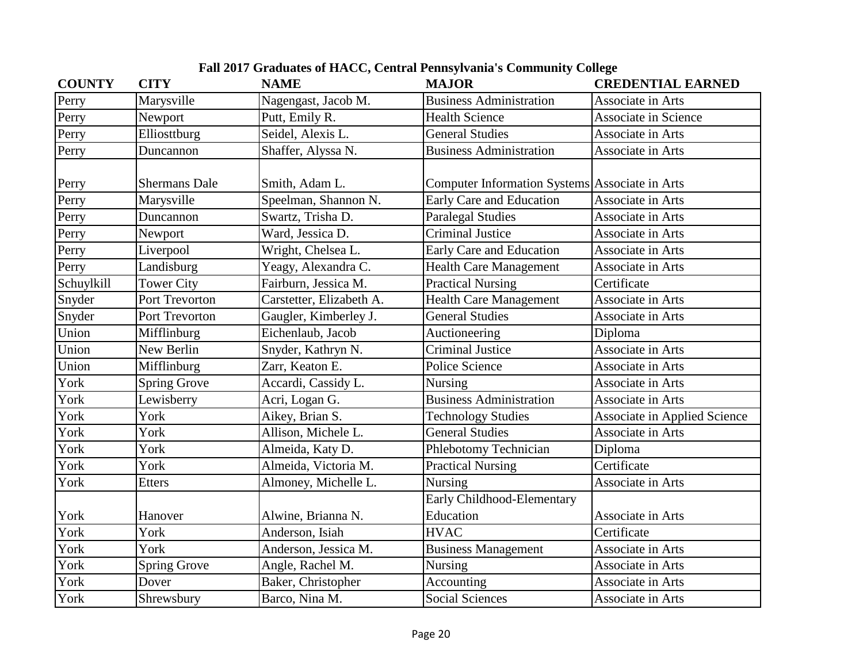| <b>COUNTY</b> | <b>CITY</b>          | <b>NAME</b>              | <b>MAJOR</b>                                   | <b>CREDENTIAL EARNED</b>            |
|---------------|----------------------|--------------------------|------------------------------------------------|-------------------------------------|
| Perry         | Marysville           | Nagengast, Jacob M.      | <b>Business Administration</b>                 | Associate in Arts                   |
| Perry         | Newport              | Putt, Emily R.           | <b>Health Science</b>                          | <b>Associate in Science</b>         |
| Perry         | Elliosttburg         | Seidel, Alexis L.        | <b>General Studies</b>                         | Associate in Arts                   |
| Perry         | Duncannon            | Shaffer, Alyssa N.       | <b>Business Administration</b>                 | Associate in Arts                   |
| Perry         | <b>Shermans Dale</b> | Smith, Adam L.           | Computer Information Systems Associate in Arts |                                     |
| Perry         | Marysville           | Speelman, Shannon N.     | Early Care and Education                       | Associate in Arts                   |
| Perry         | Duncannon            | Swartz, Trisha D.        | <b>Paralegal Studies</b>                       | Associate in Arts                   |
| Perry         | Newport              | Ward, Jessica D.         | <b>Criminal Justice</b>                        | Associate in Arts                   |
| Perry         | Liverpool            | Wright, Chelsea L.       | Early Care and Education                       | Associate in Arts                   |
| Perry         | Landisburg           | Yeagy, Alexandra C.      | <b>Health Care Management</b>                  | Associate in Arts                   |
| Schuylkill    | <b>Tower City</b>    | Fairburn, Jessica M.     | <b>Practical Nursing</b>                       | Certificate                         |
| Snyder        | Port Trevorton       | Carstetter, Elizabeth A. | Health Care Management                         | Associate in Arts                   |
| Snyder        | Port Trevorton       | Gaugler, Kimberley J.    | <b>General Studies</b>                         | Associate in Arts                   |
| Union         | Mifflinburg          | Eichenlaub, Jacob        | Auctioneering                                  | Diploma                             |
| Union         | New Berlin           | Snyder, Kathryn N.       | <b>Criminal Justice</b>                        | Associate in Arts                   |
| Union         | Mifflinburg          | Zarr, Keaton E.          | Police Science                                 | Associate in Arts                   |
| York          | <b>Spring Grove</b>  | Accardi, Cassidy L.      | Nursing                                        | Associate in Arts                   |
| York          | Lewisberry           | Acri, Logan G.           | <b>Business Administration</b>                 | Associate in Arts                   |
| York          | York                 | Aikey, Brian S.          | <b>Technology Studies</b>                      | <b>Associate in Applied Science</b> |
| York          | York                 | Allison, Michele L.      | <b>General Studies</b>                         | Associate in Arts                   |
| York          | York                 | Almeida, Katy D.         | Phlebotomy Technician                          | Diploma                             |
| York          | York                 | Almeida, Victoria M.     | <b>Practical Nursing</b>                       | Certificate                         |
| York          | <b>Etters</b>        | Almoney, Michelle L.     | <b>Nursing</b>                                 | Associate in Arts                   |
|               |                      |                          | Early Childhood-Elementary                     |                                     |
| York          | Hanover              | Alwine, Brianna N.       | Education                                      | Associate in Arts                   |
| York          | York                 | Anderson, Isiah          | <b>HVAC</b>                                    | Certificate                         |
| York          | York                 | Anderson, Jessica M.     | <b>Business Management</b>                     | Associate in Arts                   |
| York          | <b>Spring Grove</b>  | Angle, Rachel M.         | Nursing                                        | Associate in Arts                   |
| York          | Dover                | Baker, Christopher       | Accounting                                     | Associate in Arts                   |
| York          | Shrewsbury           | Barco, Nina M.           | <b>Social Sciences</b>                         | Associate in Arts                   |

**Fall 2017 Graduates of HACC, Central Pennsylvania's Community College**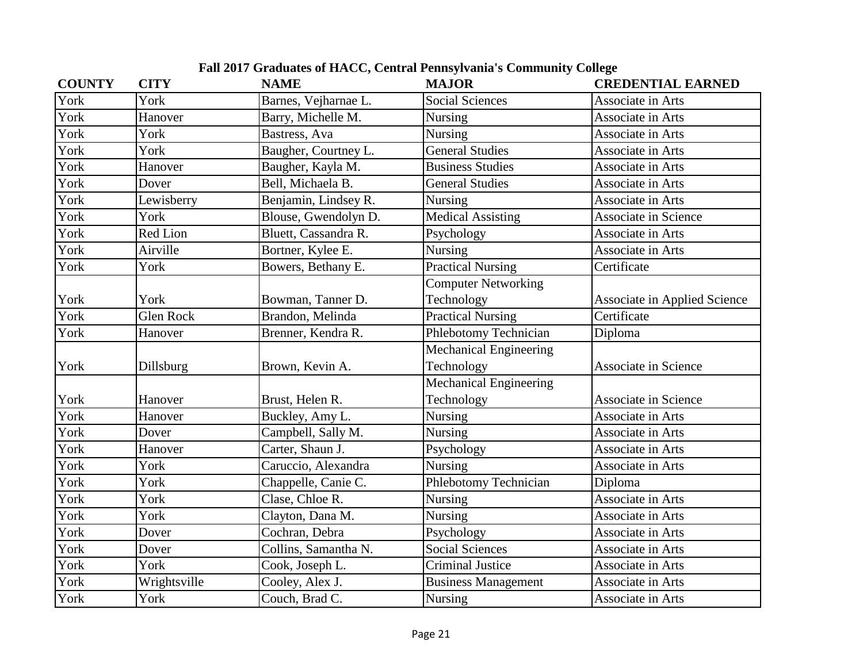| <b>COUNTY</b> | <b>CITY</b>      | <b>NAME</b>          | <b>MAJOR</b>                  | <b>CREDENTIAL EARNED</b>            |
|---------------|------------------|----------------------|-------------------------------|-------------------------------------|
| York          | York             | Barnes, Vejharnae L. | <b>Social Sciences</b>        | Associate in Arts                   |
| York          | Hanover          | Barry, Michelle M.   | <b>Nursing</b>                | Associate in Arts                   |
| York          | York             | Bastress, Ava        | <b>Nursing</b>                | Associate in Arts                   |
| York          | York             | Baugher, Courtney L. | <b>General Studies</b>        | Associate in Arts                   |
| York          | Hanover          | Baugher, Kayla M.    | <b>Business Studies</b>       | Associate in Arts                   |
| York          | Dover            | Bell, Michaela B.    | <b>General Studies</b>        | Associate in Arts                   |
| York          | Lewisberry       | Benjamin, Lindsey R. | Nursing                       | Associate in Arts                   |
| York          | York             | Blouse, Gwendolyn D. | <b>Medical Assisting</b>      | <b>Associate in Science</b>         |
| York          | Red Lion         | Bluett, Cassandra R. | Psychology                    | Associate in Arts                   |
| York          | Airville         | Bortner, Kylee E.    | Nursing                       | Associate in Arts                   |
| York          | York             | Bowers, Bethany E.   | Practical Nursing             | Certificate                         |
|               |                  |                      | <b>Computer Networking</b>    |                                     |
| York          | York             | Bowman, Tanner D.    | Technology                    | <b>Associate in Applied Science</b> |
| York          | <b>Glen Rock</b> | Brandon, Melinda     | <b>Practical Nursing</b>      | Certificate                         |
| York          | Hanover          | Brenner, Kendra R.   | Phlebotomy Technician         | Diploma                             |
|               |                  |                      | Mechanical Engineering        |                                     |
| York          | Dillsburg        | Brown, Kevin A.      | Technology                    | <b>Associate in Science</b>         |
|               |                  |                      | <b>Mechanical Engineering</b> |                                     |
| York          | Hanover          | Brust, Helen R.      | Technology                    | <b>Associate in Science</b>         |
| York          | Hanover          | Buckley, Amy L.      | <b>Nursing</b>                | Associate in Arts                   |
| York          | Dover            | Campbell, Sally M.   | <b>Nursing</b>                | Associate in Arts                   |
| York          | Hanover          | Carter, Shaun J.     | Psychology                    | Associate in Arts                   |
| York          | York             | Caruccio, Alexandra  | <b>Nursing</b>                | Associate in Arts                   |
| York          | York             | Chappelle, Canie C.  | Phlebotomy Technician         | Diploma                             |
| York          | York             | Clase, Chloe R.      | <b>Nursing</b>                | Associate in Arts                   |
| York          | York             | Clayton, Dana M.     | <b>Nursing</b>                | Associate in Arts                   |
| York          | Dover            | Cochran, Debra       | Psychology                    | Associate in Arts                   |
| York          | Dover            | Collins, Samantha N. | <b>Social Sciences</b>        | Associate in Arts                   |
| York          | York             | Cook, Joseph L.      | <b>Criminal Justice</b>       | Associate in Arts                   |
| York          | Wrightsville     | Cooley, Alex J.      | <b>Business Management</b>    | Associate in Arts                   |
| York          | York             | Couch, Brad C.       | Nursing                       | Associate in Arts                   |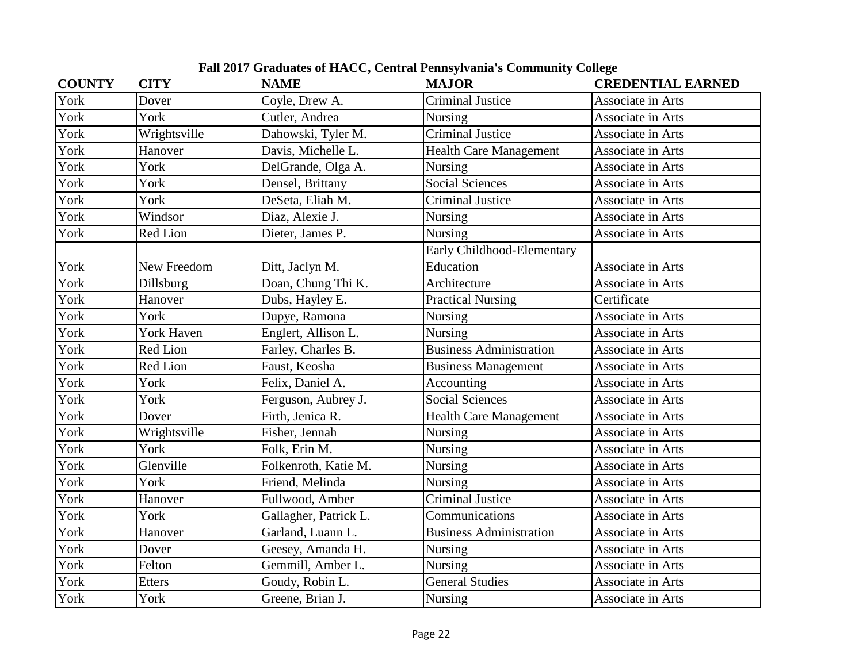| <b>COUNTY</b> | <b>CITY</b>       | <b>NAME</b>           | <b>MAJOR</b>                   | <b>CREDENTIAL EARNED</b> |
|---------------|-------------------|-----------------------|--------------------------------|--------------------------|
| York          | Dover             | Coyle, Drew A.        | <b>Criminal Justice</b>        | Associate in Arts        |
| York          | York              | Cutler, Andrea        | <b>Nursing</b>                 | Associate in Arts        |
| York          | Wrightsville      | Dahowski, Tyler M.    | <b>Criminal Justice</b>        | Associate in Arts        |
| York          | Hanover           | Davis, Michelle L.    | <b>Health Care Management</b>  | Associate in Arts        |
| York          | York              | DelGrande, Olga A.    | Nursing                        | Associate in Arts        |
| York          | York              | Densel, Brittany      | <b>Social Sciences</b>         | Associate in Arts        |
| York          | York              | DeSeta, Eliah M.      | <b>Criminal Justice</b>        | Associate in Arts        |
| York          | Windsor           | Diaz, Alexie J.       | <b>Nursing</b>                 | Associate in Arts        |
| York          | Red Lion          | Dieter, James P.      | Nursing                        | Associate in Arts        |
|               |                   |                       | Early Childhood-Elementary     |                          |
| York          | New Freedom       | Ditt, Jaclyn M.       | Education                      | Associate in Arts        |
| York          | Dillsburg         | Doan, Chung Thi K.    | Architecture                   | Associate in Arts        |
| York          | Hanover           | Dubs, Hayley E.       | <b>Practical Nursing</b>       | Certificate              |
| York          | York              | Dupye, Ramona         | <b>Nursing</b>                 | Associate in Arts        |
| York          | <b>York Haven</b> | Englert, Allison L.   | Nursing                        | Associate in Arts        |
| York          | <b>Red Lion</b>   | Farley, Charles B.    | <b>Business Administration</b> | Associate in Arts        |
| York          | <b>Red Lion</b>   | Faust, Keosha         | <b>Business Management</b>     | Associate in Arts        |
| York          | York              | Felix, Daniel A.      | Accounting                     | Associate in Arts        |
| York          | York              | Ferguson, Aubrey J.   | <b>Social Sciences</b>         | Associate in Arts        |
| York          | Dover             | Firth, Jenica R.      | <b>Health Care Management</b>  | Associate in Arts        |
| York          | Wrightsville      | Fisher, Jennah        | Nursing                        | Associate in Arts        |
| York          | York              | Folk, Erin M.         | <b>Nursing</b>                 | Associate in Arts        |
| York          | Glenville         | Folkenroth, Katie M.  | <b>Nursing</b>                 | Associate in Arts        |
| York          | York              | Friend, Melinda       | <b>Nursing</b>                 | Associate in Arts        |
| York          | Hanover           | Fullwood, Amber       | <b>Criminal Justice</b>        | Associate in Arts        |
| York          | York              | Gallagher, Patrick L. | Communications                 | Associate in Arts        |
| York          | Hanover           | Garland, Luann L.     | <b>Business Administration</b> | Associate in Arts        |
| York          | Dover             | Geesey, Amanda H.     | <b>Nursing</b>                 | Associate in Arts        |
| York          | Felton            | Gemmill, Amber L.     | <b>Nursing</b>                 | Associate in Arts        |
| York          | <b>Etters</b>     | Goudy, Robin L.       | <b>General Studies</b>         | Associate in Arts        |
| York          | York              | Greene, Brian J.      | Nursing                        | Associate in Arts        |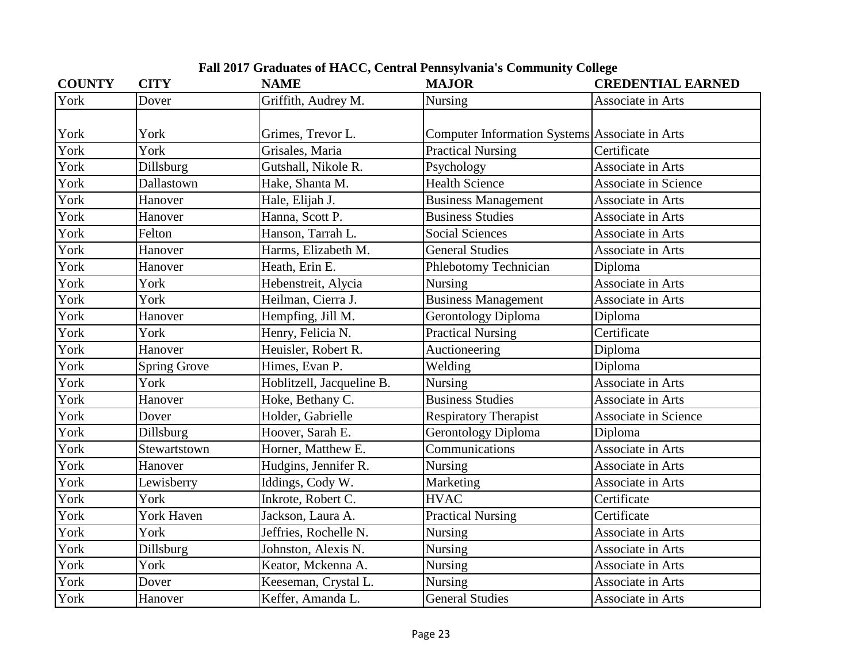| <b>COUNTY</b> | <b>CITY</b>         | <b>NAME</b>               | <b>MAJOR</b>                                   | <b>CREDENTIAL EARNED</b>    |
|---------------|---------------------|---------------------------|------------------------------------------------|-----------------------------|
| York          | Dover               | Griffith, Audrey M.       | Nursing                                        | Associate in Arts           |
| York          | York                | Grimes, Trevor L.         | Computer Information Systems Associate in Arts |                             |
| York          | York                | Grisales, Maria           | <b>Practical Nursing</b>                       | Certificate                 |
| York          | Dillsburg           | Gutshall, Nikole R.       | Psychology                                     | Associate in Arts           |
| York          | Dallastown          | Hake, Shanta M.           | <b>Health Science</b>                          | <b>Associate in Science</b> |
| York          | Hanover             | Hale, Elijah J.           | <b>Business Management</b>                     | Associate in Arts           |
| York          | Hanover             | Hanna, Scott P.           | <b>Business Studies</b>                        | Associate in Arts           |
| York          | Felton              | Hanson, Tarrah L.         | <b>Social Sciences</b>                         | Associate in Arts           |
| York          | Hanover             | Harms, Elizabeth M.       | <b>General Studies</b>                         | Associate in Arts           |
| York          | Hanover             | Heath, Erin E.            | Phlebotomy Technician                          | Diploma                     |
| York          | York                | Hebenstreit, Alycia       | <b>Nursing</b>                                 | Associate in Arts           |
| York          | York                | Heilman, Cierra J.        | <b>Business Management</b>                     | Associate in Arts           |
| York          | Hanover             | Hempfing, Jill M.         | <b>Gerontology Diploma</b>                     | Diploma                     |
| York          | York                | Henry, Felicia N.         | <b>Practical Nursing</b>                       | Certificate                 |
| York          | Hanover             | Heuisler, Robert R.       | Auctioneering                                  | Diploma                     |
| York          | <b>Spring Grove</b> | Himes, Evan P.            | Welding                                        | Diploma                     |
| York          | York                | Hoblitzell, Jacqueline B. | <b>Nursing</b>                                 | Associate in Arts           |
| York          | Hanover             | Hoke, Bethany C.          | <b>Business Studies</b>                        | Associate in Arts           |
| York          | Dover               | Holder, Gabrielle         | <b>Respiratory Therapist</b>                   | <b>Associate in Science</b> |
| York          | Dillsburg           | Hoover, Sarah E.          | <b>Gerontology Diploma</b>                     | Diploma                     |
| York          | Stewartstown        | Horner, Matthew E.        | Communications                                 | Associate in Arts           |
| York          | Hanover             | Hudgins, Jennifer R.      | <b>Nursing</b>                                 | Associate in Arts           |
| York          | Lewisberry          | Iddings, Cody W.          | Marketing                                      | Associate in Arts           |
| York          | York                | Inkrote, Robert C.        | <b>HVAC</b>                                    | Certificate                 |
| York          | <b>York Haven</b>   | Jackson, Laura A.         | <b>Practical Nursing</b>                       | Certificate                 |
| York          | York                | Jeffries, Rochelle N.     | Nursing                                        | Associate in Arts           |
| York          | Dillsburg           | Johnston, Alexis N.       | Nursing                                        | Associate in Arts           |
| York          | York                | Keator, Mckenna A.        | <b>Nursing</b>                                 | Associate in Arts           |
| York          | Dover               | Keeseman, Crystal L.      | <b>Nursing</b>                                 | Associate in Arts           |
| York          | Hanover             | Keffer, Amanda L.         | <b>General Studies</b>                         | Associate in Arts           |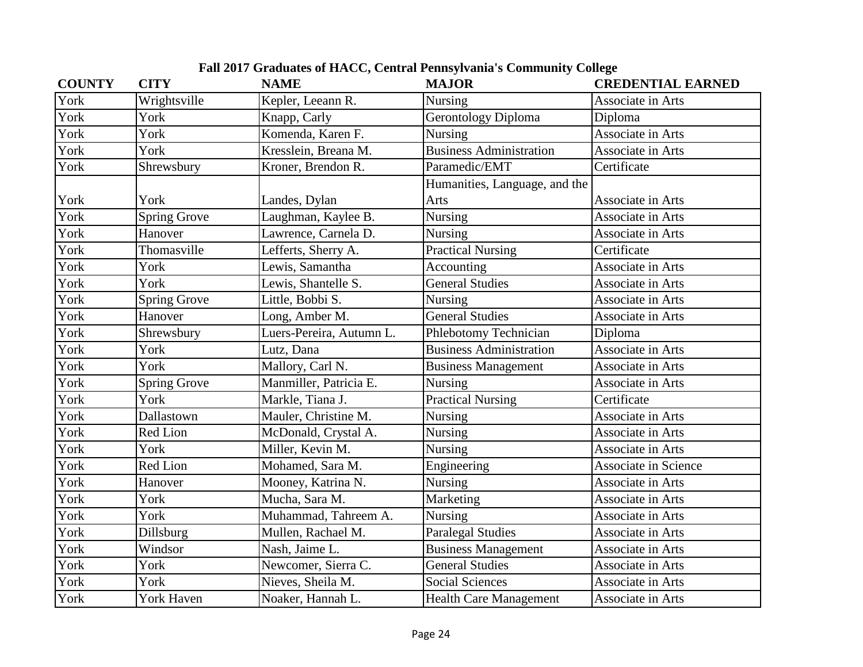| <b>COUNTY</b> | <b>CITY</b>         | <b>NAME</b>              | <b>MAJOR</b>                   | <b>CREDENTIAL EARNED</b>    |
|---------------|---------------------|--------------------------|--------------------------------|-----------------------------|
| York          | Wrightsville        | Kepler, Leeann R.        | Nursing                        | Associate in Arts           |
| York          | York                | Knapp, Carly             | <b>Gerontology Diploma</b>     | Diploma                     |
| York          | York                | Komenda, Karen F.        | Nursing                        | Associate in Arts           |
| York          | York                | Kresslein, Breana M.     | <b>Business Administration</b> | Associate in Arts           |
| York          | Shrewsbury          | Kroner, Brendon R.       | Paramedic/EMT                  | Certificate                 |
|               |                     |                          | Humanities, Language, and the  |                             |
| York          | York                | Landes, Dylan            | Arts                           | Associate in Arts           |
| York          | <b>Spring Grove</b> | Laughman, Kaylee B.      | Nursing                        | Associate in Arts           |
| York          | Hanover             | Lawrence, Carnela D.     | Nursing                        | Associate in Arts           |
| York          | Thomasville         | Lefferts, Sherry A.      | <b>Practical Nursing</b>       | Certificate                 |
| York          | York                | Lewis, Samantha          | Accounting                     | Associate in Arts           |
| York          | York                | Lewis, Shantelle S.      | <b>General Studies</b>         | Associate in Arts           |
| York          | <b>Spring Grove</b> | Little, Bobbi S.         | Nursing                        | Associate in Arts           |
| York          | Hanover             | Long, Amber M.           | <b>General Studies</b>         | Associate in Arts           |
| York          | Shrewsbury          | Luers-Pereira, Autumn L. | Phlebotomy Technician          | Diploma                     |
| York          | York                | Lutz, Dana               | <b>Business Administration</b> | Associate in Arts           |
| York          | York                | Mallory, Carl N.         | <b>Business Management</b>     | Associate in Arts           |
| York          | <b>Spring Grove</b> | Manmiller, Patricia E.   | Nursing                        | Associate in Arts           |
| York          | York                | Markle, Tiana J.         | <b>Practical Nursing</b>       | Certificate                 |
| York          | Dallastown          | Mauler, Christine M.     | Nursing                        | Associate in Arts           |
| York          | <b>Red Lion</b>     | McDonald, Crystal A.     | Nursing                        | Associate in Arts           |
| York          | York                | Miller, Kevin M.         | Nursing                        | Associate in Arts           |
| York          | <b>Red Lion</b>     | Mohamed, Sara M.         | Engineering                    | <b>Associate in Science</b> |
| York          | Hanover             | Mooney, Katrina N.       | Nursing                        | Associate in Arts           |
| York          | York                | Mucha, Sara M.           | Marketing                      | Associate in Arts           |
| York          | York                | Muhammad, Tahreem A.     | <b>Nursing</b>                 | Associate in Arts           |
| York          | Dillsburg           | Mullen, Rachael M.       | <b>Paralegal Studies</b>       | Associate in Arts           |
| York          | Windsor             | Nash, Jaime L.           | <b>Business Management</b>     | Associate in Arts           |
| York          | York                | Newcomer, Sierra C.      | <b>General Studies</b>         | Associate in Arts           |
| York          | York                | Nieves, Sheila M.        | <b>Social Sciences</b>         | Associate in Arts           |
| York          | <b>York Haven</b>   | Noaker, Hannah L.        | <b>Health Care Management</b>  | Associate in Arts           |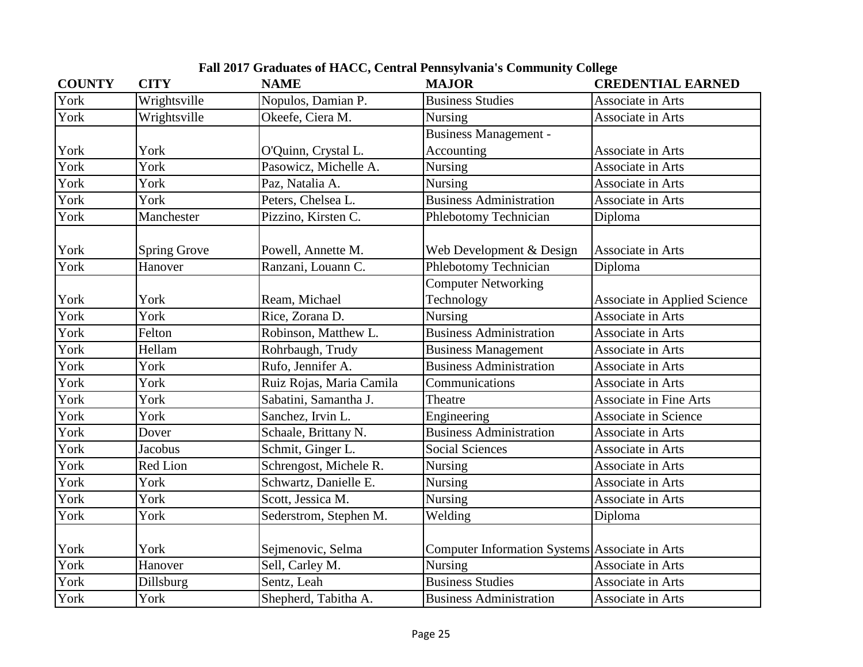| <b>COUNTY</b> | <b>CITY</b>         | <b>NAME</b>              | <b>MAJOR</b>                                   | <b>CREDENTIAL EARNED</b>            |
|---------------|---------------------|--------------------------|------------------------------------------------|-------------------------------------|
| York          | Wrightsville        | Nopulos, Damian P.       | <b>Business Studies</b>                        | Associate in Arts                   |
| York          | Wrightsville        | Okeefe, Ciera M.         | Nursing                                        | Associate in Arts                   |
|               |                     |                          | <b>Business Management -</b>                   |                                     |
| York          | York                | O'Quinn, Crystal L.      | Accounting                                     | Associate in Arts                   |
| York          | York                | Pasowicz, Michelle A.    | Nursing                                        | Associate in Arts                   |
| York          | York                | Paz, Natalia A.          | <b>Nursing</b>                                 | Associate in Arts                   |
| York          | York                | Peters, Chelsea L.       | <b>Business Administration</b>                 | Associate in Arts                   |
| York          | Manchester          | Pizzino, Kirsten C.      | Phlebotomy Technician                          | Diploma                             |
| York          | <b>Spring Grove</b> | Powell, Annette M.       | Web Development & Design                       | Associate in Arts                   |
| York          | Hanover             | Ranzani, Louann C.       | <b>Phlebotomy Technician</b>                   | Diploma                             |
|               |                     |                          | <b>Computer Networking</b>                     |                                     |
| York          | York                | Ream, Michael            | Technology                                     | <b>Associate in Applied Science</b> |
| York          | York                | Rice, Zorana D.          | Nursing                                        | <b>Associate in Arts</b>            |
| York          | Felton              | Robinson, Matthew L.     | <b>Business Administration</b>                 | Associate in Arts                   |
| York          | Hellam              | Rohrbaugh, Trudy         | <b>Business Management</b>                     | Associate in Arts                   |
| York          | York                | Rufo, Jennifer A.        | <b>Business Administration</b>                 | Associate in Arts                   |
| York          | York                | Ruiz Rojas, Maria Camila | Communications                                 | Associate in Arts                   |
| York          | York                | Sabatini, Samantha J.    | Theatre                                        | <b>Associate in Fine Arts</b>       |
| York          | York                | Sanchez, Irvin L.        | Engineering                                    | <b>Associate in Science</b>         |
| York          | Dover               | Schaale, Brittany N.     | <b>Business Administration</b>                 | Associate in Arts                   |
| York          | <b>Jacobus</b>      | Schmit, Ginger L.        | <b>Social Sciences</b>                         | Associate in Arts                   |
| York          | Red Lion            | Schrengost, Michele R.   | <b>Nursing</b>                                 | Associate in Arts                   |
| York          | York                | Schwartz, Danielle E.    | Nursing                                        | Associate in Arts                   |
| York          | York                | Scott, Jessica M.        | Nursing                                        | Associate in Arts                   |
| York          | York                | Sederstrom, Stephen M.   | Welding                                        | Diploma                             |
| York          | York                | Sejmenovic, Selma        | Computer Information Systems Associate in Arts |                                     |
| York          | Hanover             | Sell, Carley M.          | Nursing                                        | Associate in Arts                   |
| York          | Dillsburg           | Sentz, Leah              | <b>Business Studies</b>                        | Associate in Arts                   |
| York          | York                | Shepherd, Tabitha A.     | <b>Business Administration</b>                 | Associate in Arts                   |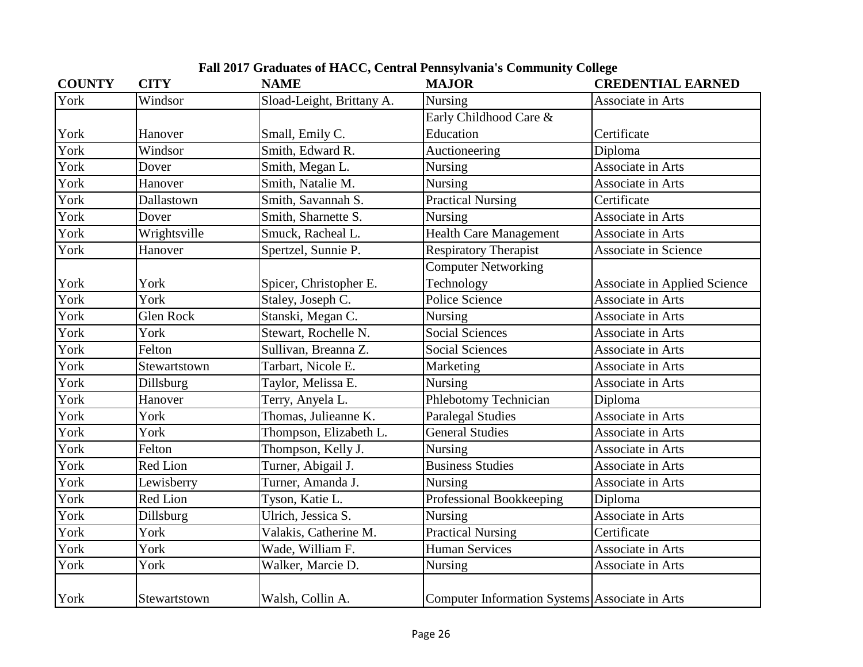| <b>COUNTY</b> | <b>CITY</b>      | <b>NAME</b>               | <b>MAJOR</b>                                   | <b>CREDENTIAL EARNED</b>            |
|---------------|------------------|---------------------------|------------------------------------------------|-------------------------------------|
| York          | Windsor          | Sload-Leight, Brittany A. | Nursing                                        | Associate in Arts                   |
|               |                  |                           | Early Childhood Care &                         |                                     |
| York          | Hanover          | Small, Emily C.           | Education                                      | Certificate                         |
| York          | Windsor          | Smith, Edward R.          | Auctioneering                                  | Diploma                             |
| York          | Dover            | Smith, Megan L.           | Nursing                                        | Associate in Arts                   |
| York          | Hanover          | Smith, Natalie M.         | <b>Nursing</b>                                 | Associate in Arts                   |
| York          | Dallastown       | Smith, Savannah S.        | <b>Practical Nursing</b>                       | Certificate                         |
| York          | Dover            | Smith, Sharnette S.       | Nursing                                        | Associate in Arts                   |
| York          | Wrightsville     | Smuck, Racheal L.         | <b>Health Care Management</b>                  | Associate in Arts                   |
| York          | Hanover          | Spertzel, Sunnie P.       | <b>Respiratory Therapist</b>                   | Associate in Science                |
|               |                  |                           | <b>Computer Networking</b>                     |                                     |
| York          | York             | Spicer, Christopher E.    | Technology                                     | <b>Associate in Applied Science</b> |
| York          | York             | Staley, Joseph C.         | Police Science                                 | Associate in Arts                   |
| York          | <b>Glen Rock</b> | Stanski, Megan C.         | Nursing                                        | Associate in Arts                   |
| York          | York             | Stewart, Rochelle N.      | <b>Social Sciences</b>                         | Associate in Arts                   |
| York          | Felton           | Sullivan, Breanna Z.      | <b>Social Sciences</b>                         | Associate in Arts                   |
| York          | Stewartstown     | Tarbart, Nicole E.        | Marketing                                      | Associate in Arts                   |
| York          | Dillsburg        | Taylor, Melissa E.        | Nursing                                        | Associate in Arts                   |
| York          | Hanover          | Terry, Anyela L.          | Phlebotomy Technician                          | Diploma                             |
| York          | York             | Thomas, Julieanne K.      | <b>Paralegal Studies</b>                       | Associate in Arts                   |
| York          | York             | Thompson, Elizabeth L.    | <b>General Studies</b>                         | Associate in Arts                   |
| York          | Felton           | Thompson, Kelly J.        | <b>Nursing</b>                                 | Associate in Arts                   |
| York          | Red Lion         | Turner, Abigail J.        | <b>Business Studies</b>                        | Associate in Arts                   |
| York          | Lewisberry       | Turner, Amanda J.         | Nursing                                        | Associate in Arts                   |
| York          | Red Lion         | Tyson, Katie L.           | Professional Bookkeeping                       | Diploma                             |
| York          | Dillsburg        | Ulrich, Jessica S.        | Nursing                                        | Associate in Arts                   |
| York          | York             | Valakis, Catherine M.     | <b>Practical Nursing</b>                       | Certificate                         |
| York          | York             | Wade, William F.          | <b>Human Services</b>                          | Associate in Arts                   |
| York          | York             | Walker, Marcie D.         | Nursing                                        | Associate in Arts                   |
| York          | Stewartstown     | Walsh, Collin A.          | Computer Information Systems Associate in Arts |                                     |